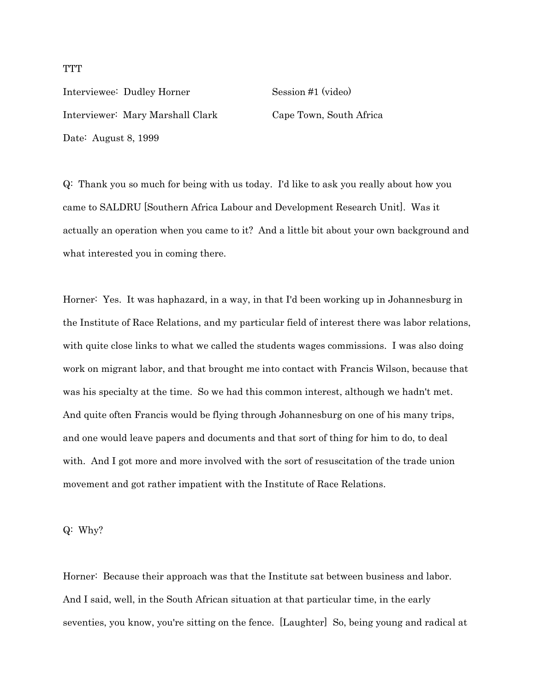Interviewee: Dudley Horner Session #1 (video) Interviewer: Mary Marshall Clark Cape Town, South Africa Date: August 8, 1999

Q: Thank you so much for being with us today. I'd like to ask you really about how you came to SALDRU [Southern Africa Labour and Development Research Unit]. Was it actually an operation when you came to it? And a little bit about your own background and what interested you in coming there.

Horner: Yes. It was haphazard, in a way, in that I'd been working up in Johannesburg in the Institute of Race Relations, and my particular field of interest there was labor relations, with quite close links to what we called the students wages commissions. I was also doing work on migrant labor, and that brought me into contact with Francis Wilson, because that was his specialty at the time. So we had this common interest, although we hadn't met. And quite often Francis would be flying through Johannesburg on one of his many trips, and one would leave papers and documents and that sort of thing for him to do, to deal with. And I got more and more involved with the sort of resuscitation of the trade union movement and got rather impatient with the Institute of Race Relations.

Q: Why?

Horner: Because their approach was that the Institute sat between business and labor. And I said, well, in the South African situation at that particular time, in the early seventies, you know, you're sitting on the fence. [Laughter] So, being young and radical at

### **TTT**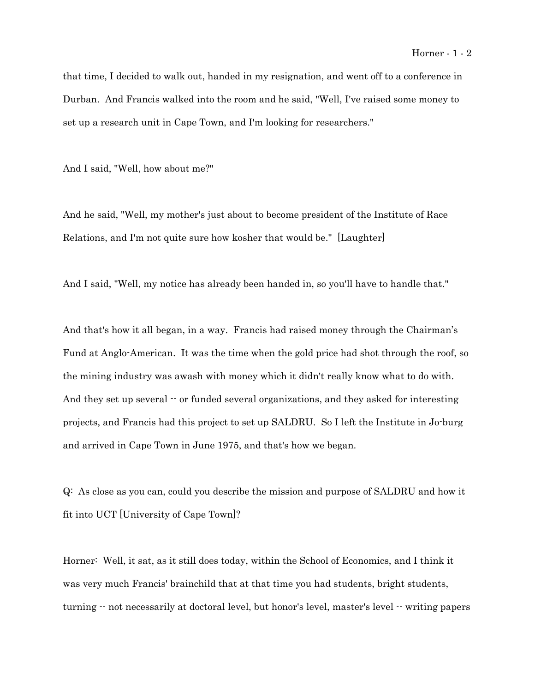#### Horner - 1 - 2

that time, I decided to walk out, handed in my resignation, and went off to a conference in Durban. And Francis walked into the room and he said, "Well, I've raised some money to set up a research unit in Cape Town, and I'm looking for researchers."

And I said, "Well, how about me?"

And he said, "Well, my mother's just about to become president of the Institute of Race Relations, and I'm not quite sure how kosher that would be." [Laughter]

And I said, "Well, my notice has already been handed in, so you'll have to handle that."

And that's how it all began, in a way. Francis had raised money through the Chairman's Fund at Anglo-American. It was the time when the gold price had shot through the roof, so the mining industry was awash with money which it didn't really know what to do with. And they set up several  $\cdot$  or funded several organizations, and they asked for interesting projects, and Francis had this project to set up SALDRU. So I left the Institute in Jo-burg and arrived in Cape Town in June 1975, and that's how we began.

Q: As close as you can, could you describe the mission and purpose of SALDRU and how it fit into UCT [University of Cape Town]?

Horner: Well, it sat, as it still does today, within the School of Economics, and I think it was very much Francis' brainchild that at that time you had students, bright students, turning  $\cdot$  not necessarily at doctoral level, but honor's level, master's level  $\cdot$  writing papers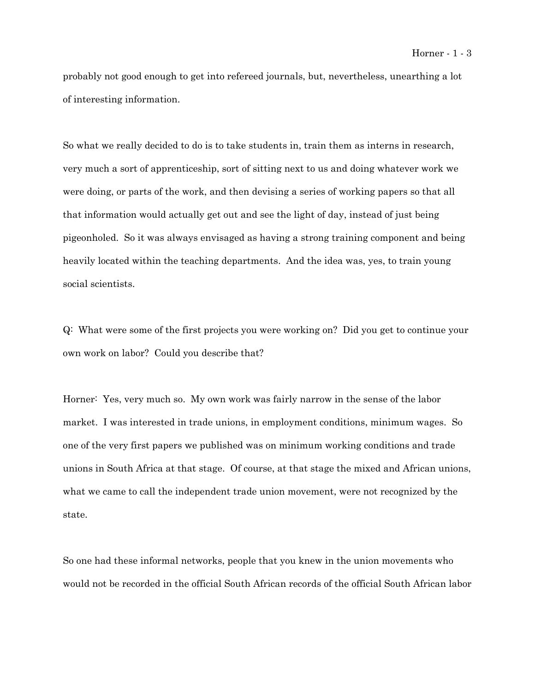probably not good enough to get into refereed journals, but, nevertheless, unearthing a lot of interesting information.

So what we really decided to do is to take students in, train them as interns in research, very much a sort of apprenticeship, sort of sitting next to us and doing whatever work we were doing, or parts of the work, and then devising a series of working papers so that all that information would actually get out and see the light of day, instead of just being pigeonholed. So it was always envisaged as having a strong training component and being heavily located within the teaching departments. And the idea was, yes, to train young social scientists.

Q: What were some of the first projects you were working on? Did you get to continue your own work on labor? Could you describe that?

Horner: Yes, very much so. My own work was fairly narrow in the sense of the labor market. I was interested in trade unions, in employment conditions, minimum wages. So one of the very first papers we published was on minimum working conditions and trade unions in South Africa at that stage. Of course, at that stage the mixed and African unions, what we came to call the independent trade union movement, were not recognized by the state.

So one had these informal networks, people that you knew in the union movements who would not be recorded in the official South African records of the official South African labor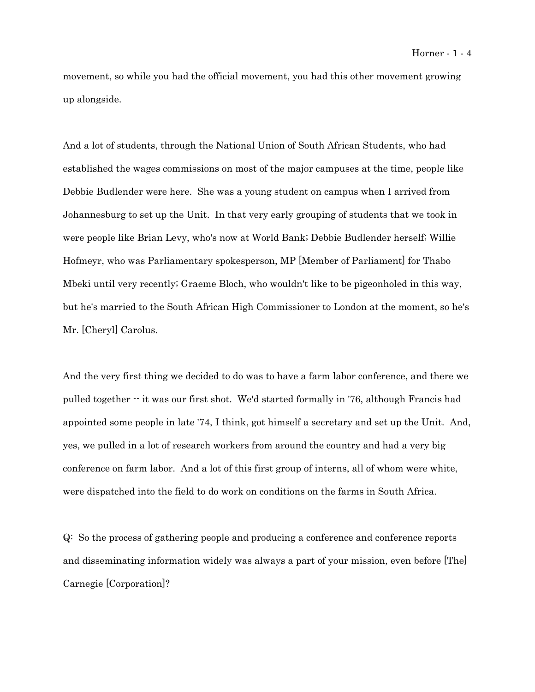movement, so while you had the official movement, you had this other movement growing up alongside.

And a lot of students, through the National Union of South African Students, who had established the wages commissions on most of the major campuses at the time, people like Debbie Budlender were here. She was a young student on campus when I arrived from Johannesburg to set up the Unit. In that very early grouping of students that we took in were people like Brian Levy, who's now at World Bank; Debbie Budlender herself; Willie Hofmeyr, who was Parliamentary spokesperson, MP [Member of Parliament] for Thabo Mbeki until very recently; Graeme Bloch, who wouldn't like to be pigeonholed in this way, but he's married to the South African High Commissioner to London at the moment, so he's Mr. [Cheryl] Carolus.

And the very first thing we decided to do was to have a farm labor conference, and there we pulled together -- it was our first shot. We'd started formally in '76, although Francis had appointed some people in late '74, I think, got himself a secretary and set up the Unit. And, yes, we pulled in a lot of research workers from around the country and had a very big conference on farm labor. And a lot of this first group of interns, all of whom were white, were dispatched into the field to do work on conditions on the farms in South Africa.

Q: So the process of gathering people and producing a conference and conference reports and disseminating information widely was always a part of your mission, even before [The] Carnegie [Corporation]?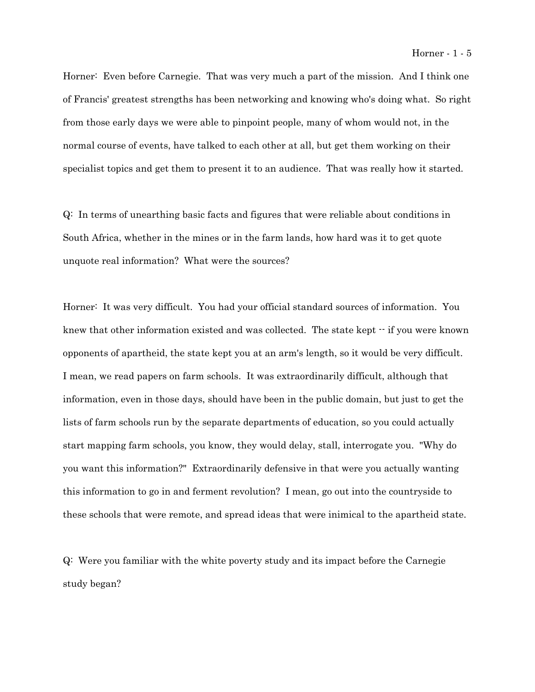Horner: Even before Carnegie. That was very much a part of the mission. And I think one of Francis' greatest strengths has been networking and knowing who's doing what. So right from those early days we were able to pinpoint people, many of whom would not, in the normal course of events, have talked to each other at all, but get them working on their specialist topics and get them to present it to an audience. That was really how it started.

Q: In terms of unearthing basic facts and figures that were reliable about conditions in South Africa, whether in the mines or in the farm lands, how hard was it to get quote unquote real information? What were the sources?

Horner: It was very difficult. You had your official standard sources of information. You knew that other information existed and was collected. The state kept  $\cdot\cdot$  if you were known opponents of apartheid, the state kept you at an arm's length, so it would be very difficult. I mean, we read papers on farm schools. It was extraordinarily difficult, although that information, even in those days, should have been in the public domain, but just to get the lists of farm schools run by the separate departments of education, so you could actually start mapping farm schools, you know, they would delay, stall, interrogate you. "Why do you want this information?" Extraordinarily defensive in that were you actually wanting this information to go in and ferment revolution? I mean, go out into the countryside to these schools that were remote, and spread ideas that were inimical to the apartheid state.

Q: Were you familiar with the white poverty study and its impact before the Carnegie study began?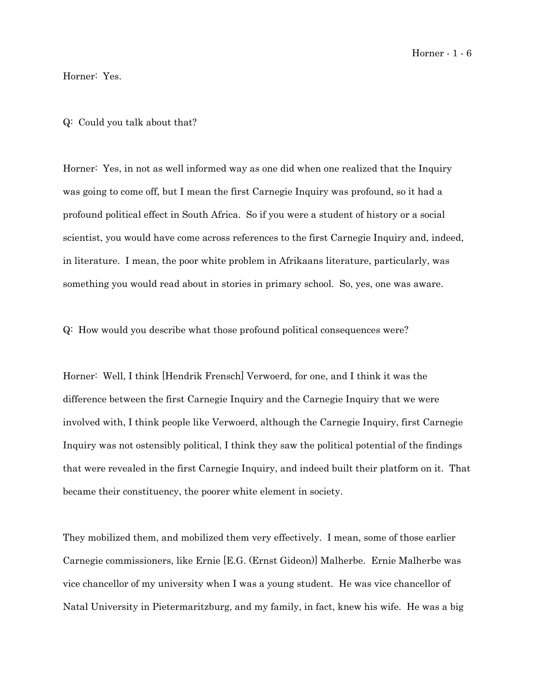Horner - 1 - 6

Horner: Yes.

Q: Could you talk about that?

Horner: Yes, in not as well informed way as one did when one realized that the Inquiry was going to come off, but I mean the first Carnegie Inquiry was profound, so it had a profound political effect in South Africa. So if you were a student of history or a social scientist, you would have come across references to the first Carnegie Inquiry and, indeed, in literature. I mean, the poor white problem in Afrikaans literature, particularly, was something you would read about in stories in primary school. So, yes, one was aware.

Q: How would you describe what those profound political consequences were?

Horner: Well, I think [Hendrik Frensch] Verwoerd, for one, and I think it was the difference between the first Carnegie Inquiry and the Carnegie Inquiry that we were involved with, I think people like Verwoerd, although the Carnegie Inquiry, first Carnegie Inquiry was not ostensibly political, I think they saw the political potential of the findings that were revealed in the first Carnegie Inquiry, and indeed built their platform on it. That became their constituency, the poorer white element in society.

They mobilized them, and mobilized them very effectively. I mean, some of those earlier Carnegie commissioners, like Ernie [E.G. (Ernst Gideon)] Malherbe. Ernie Malherbe was vice chancellor of my university when I was a young student. He was vice chancellor of Natal University in Pietermaritzburg, and my family, in fact, knew his wife. He was a big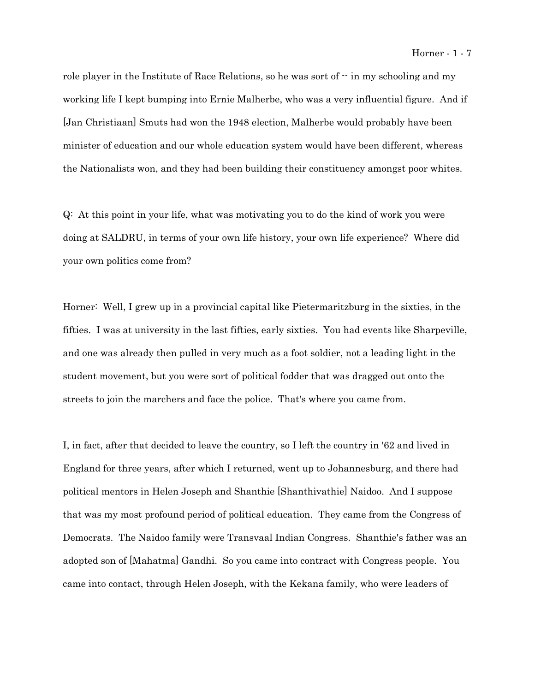role player in the Institute of Race Relations, so he was sort of  $\cdot$  in my schooling and my working life I kept bumping into Ernie Malherbe, who was a very influential figure. And if [Jan Christiaan] Smuts had won the 1948 election, Malherbe would probably have been minister of education and our whole education system would have been different, whereas the Nationalists won, and they had been building their constituency amongst poor whites.

Q: At this point in your life, what was motivating you to do the kind of work you were doing at SALDRU, in terms of your own life history, your own life experience? Where did your own politics come from?

Horner: Well, I grew up in a provincial capital like Pietermaritzburg in the sixties, in the fifties. I was at university in the last fifties, early sixties. You had events like Sharpeville, and one was already then pulled in very much as a foot soldier, not a leading light in the student movement, but you were sort of political fodder that was dragged out onto the streets to join the marchers and face the police. That's where you came from.

I, in fact, after that decided to leave the country, so I left the country in '62 and lived in England for three years, after which I returned, went up to Johannesburg, and there had political mentors in Helen Joseph and Shanthie [Shanthivathie] Naidoo. And I suppose that was my most profound period of political education. They came from the Congress of Democrats. The Naidoo family were Transvaal Indian Congress. Shanthie's father was an adopted son of [Mahatma] Gandhi. So you came into contract with Congress people. You came into contact, through Helen Joseph, with the Kekana family, who were leaders of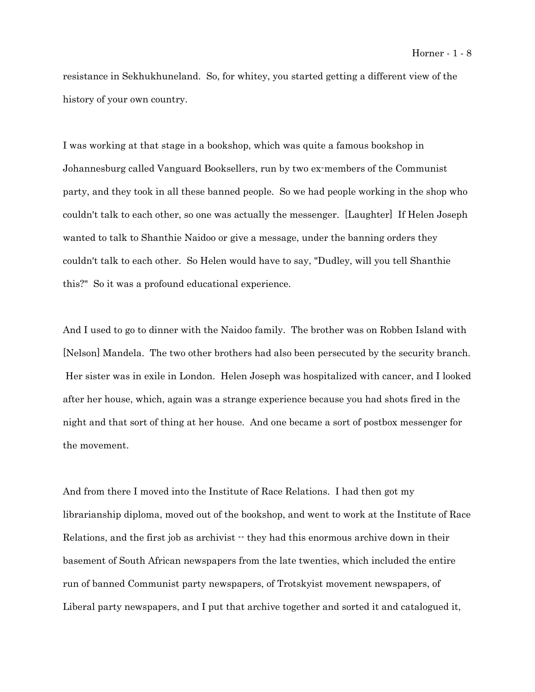resistance in Sekhukhuneland. So, for whitey, you started getting a different view of the history of your own country.

I was working at that stage in a bookshop, which was quite a famous bookshop in Johannesburg called Vanguard Booksellers, run by two ex-members of the Communist party, and they took in all these banned people. So we had people working in the shop who couldn't talk to each other, so one was actually the messenger. [Laughter] If Helen Joseph wanted to talk to Shanthie Naidoo or give a message, under the banning orders they couldn't talk to each other. So Helen would have to say, "Dudley, will you tell Shanthie this?" So it was a profound educational experience.

And I used to go to dinner with the Naidoo family. The brother was on Robben Island with [Nelson] Mandela. The two other brothers had also been persecuted by the security branch. Her sister was in exile in London. Helen Joseph was hospitalized with cancer, and I looked after her house, which, again was a strange experience because you had shots fired in the night and that sort of thing at her house. And one became a sort of postbox messenger for the movement.

And from there I moved into the Institute of Race Relations. I had then got my librarianship diploma, moved out of the bookshop, and went to work at the Institute of Race Relations, and the first job as archivist  $-$  they had this enormous archive down in their basement of South African newspapers from the late twenties, which included the entire run of banned Communist party newspapers, of Trotskyist movement newspapers, of Liberal party newspapers, and I put that archive together and sorted it and catalogued it,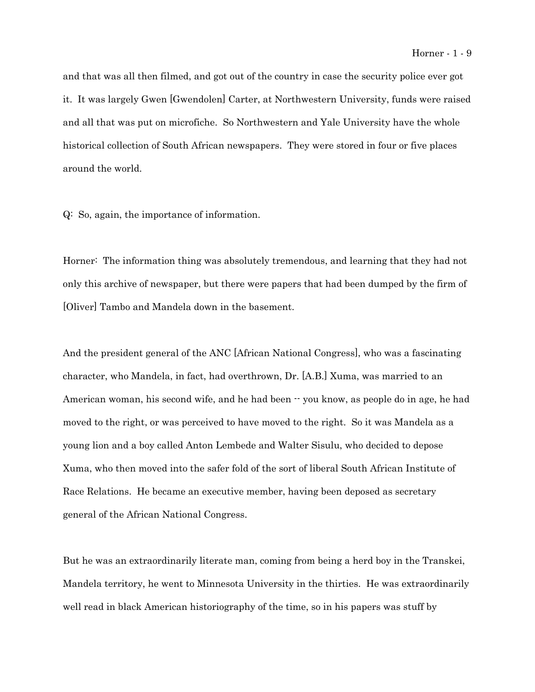#### Horner - 1 - 9

and that was all then filmed, and got out of the country in case the security police ever got it. It was largely Gwen [Gwendolen] Carter, at Northwestern University, funds were raised and all that was put on microfiche. So Northwestern and Yale University have the whole historical collection of South African newspapers. They were stored in four or five places around the world.

Q: So, again, the importance of information.

Horner: The information thing was absolutely tremendous, and learning that they had not only this archive of newspaper, but there were papers that had been dumped by the firm of [Oliver] Tambo and Mandela down in the basement.

And the president general of the ANC [African National Congress], who was a fascinating character, who Mandela, in fact, had overthrown, Dr. [A.B.] Xuma, was married to an American woman, his second wife, and he had been  $\cdot\cdot$  you know, as people do in age, he had moved to the right, or was perceived to have moved to the right. So it was Mandela as a young lion and a boy called Anton Lembede and Walter Sisulu, who decided to depose Xuma, who then moved into the safer fold of the sort of liberal South African Institute of Race Relations. He became an executive member, having been deposed as secretary general of the African National Congress.

But he was an extraordinarily literate man, coming from being a herd boy in the Transkei, Mandela territory, he went to Minnesota University in the thirties. He was extraordinarily well read in black American historiography of the time, so in his papers was stuff by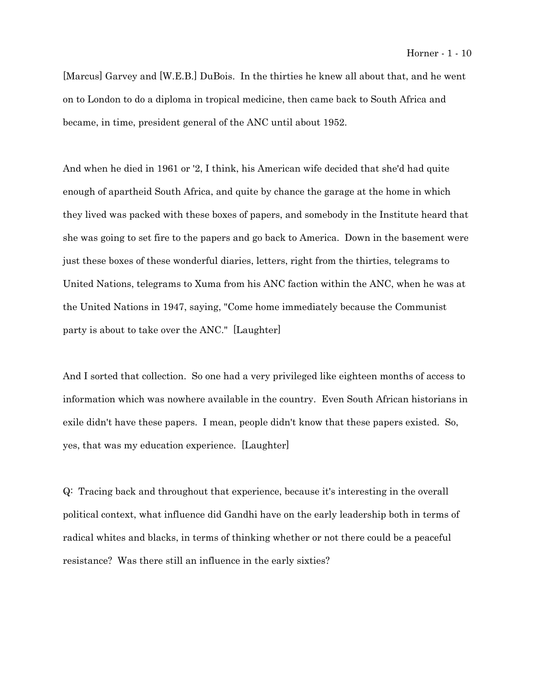[Marcus] Garvey and [W.E.B.] DuBois. In the thirties he knew all about that, and he went on to London to do a diploma in tropical medicine, then came back to South Africa and became, in time, president general of the ANC until about 1952.

And when he died in 1961 or '2, I think, his American wife decided that she'd had quite enough of apartheid South Africa, and quite by chance the garage at the home in which they lived was packed with these boxes of papers, and somebody in the Institute heard that she was going to set fire to the papers and go back to America. Down in the basement were just these boxes of these wonderful diaries, letters, right from the thirties, telegrams to United Nations, telegrams to Xuma from his ANC faction within the ANC, when he was at the United Nations in 1947, saying, "Come home immediately because the Communist party is about to take over the ANC." [Laughter]

And I sorted that collection. So one had a very privileged like eighteen months of access to information which was nowhere available in the country. Even South African historians in exile didn't have these papers. I mean, people didn't know that these papers existed. So, yes, that was my education experience. [Laughter]

Q: Tracing back and throughout that experience, because it's interesting in the overall political context, what influence did Gandhi have on the early leadership both in terms of radical whites and blacks, in terms of thinking whether or not there could be a peaceful resistance? Was there still an influence in the early sixties?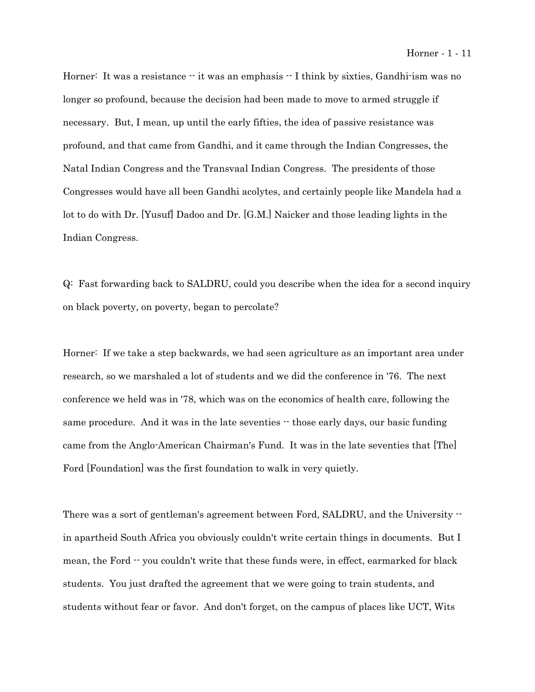Horner: It was a resistance  $\cdot \cdot$  it was an emphasis  $\cdot \cdot$  I think by sixties, Gandhi-ism was no longer so profound, because the decision had been made to move to armed struggle if necessary. But, I mean, up until the early fifties, the idea of passive resistance was profound, and that came from Gandhi, and it came through the Indian Congresses, the Natal Indian Congress and the Transvaal Indian Congress. The presidents of those Congresses would have all been Gandhi acolytes, and certainly people like Mandela had a lot to do with Dr. [Yusuf] Dadoo and Dr. [G.M.] Naicker and those leading lights in the Indian Congress.

Q: Fast forwarding back to SALDRU, could you describe when the idea for a second inquiry on black poverty, on poverty, began to percolate?

Horner: If we take a step backwards, we had seen agriculture as an important area under research, so we marshaled a lot of students and we did the conference in '76. The next conference we held was in '78, which was on the economics of health care, following the same procedure. And it was in the late seventies  $\cdot$  those early days, our basic funding came from the Anglo-American Chairman's Fund. It was in the late seventies that [The] Ford [Foundation] was the first foundation to walk in very quietly.

There was a sort of gentleman's agreement between Ford, SALDRU, and the University  $\cdot$ in apartheid South Africa you obviously couldn't write certain things in documents. But I mean, the Ford -- you couldn't write that these funds were, in effect, earmarked for black students. You just drafted the agreement that we were going to train students, and students without fear or favor. And don't forget, on the campus of places like UCT, Wits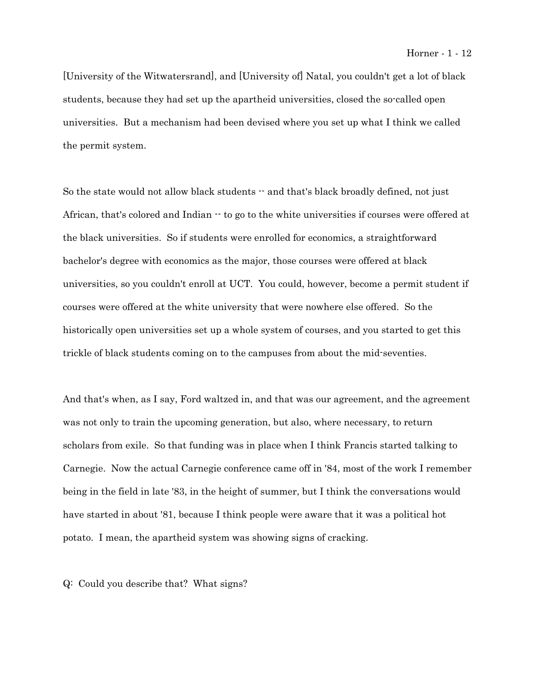[University of the Witwatersrand], and [University of] Natal, you couldn't get a lot of black students, because they had set up the apartheid universities, closed the so-called open universities. But a mechanism had been devised where you set up what I think we called the permit system.

So the state would not allow black students  $-$  and that's black broadly defined, not just African, that's colored and Indian  $\cdots$  to go to the white universities if courses were offered at the black universities. So if students were enrolled for economics, a straightforward bachelor's degree with economics as the major, those courses were offered at black universities, so you couldn't enroll at UCT. You could, however, become a permit student if courses were offered at the white university that were nowhere else offered. So the historically open universities set up a whole system of courses, and you started to get this trickle of black students coming on to the campuses from about the mid-seventies.

And that's when, as I say, Ford waltzed in, and that was our agreement, and the agreement was not only to train the upcoming generation, but also, where necessary, to return scholars from exile. So that funding was in place when I think Francis started talking to Carnegie. Now the actual Carnegie conference came off in '84, most of the work I remember being in the field in late '83, in the height of summer, but I think the conversations would have started in about '81, because I think people were aware that it was a political hot potato. I mean, the apartheid system was showing signs of cracking.

Q: Could you describe that? What signs?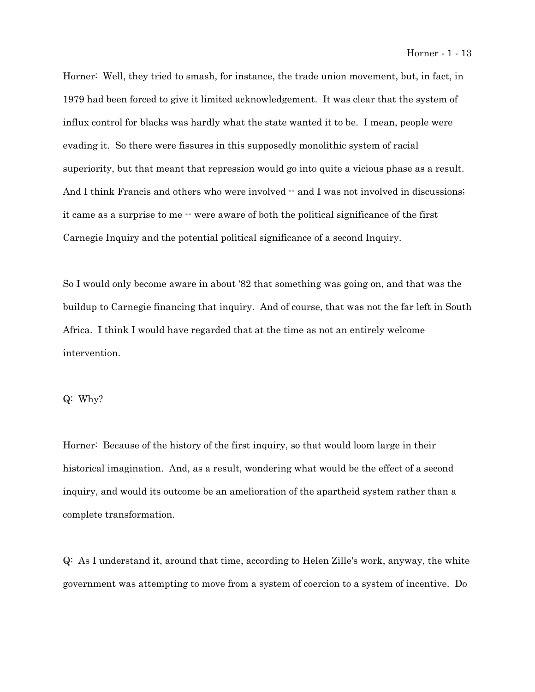Horner: Well, they tried to smash, for instance, the trade union movement, but, in fact, in 1979 had been forced to give it limited acknowledgement. It was clear that the system of influx control for blacks was hardly what the state wanted it to be. I mean, people were evading it. So there were fissures in this supposedly monolithic system of racial superiority, but that meant that repression would go into quite a vicious phase as a result. And I think Francis and others who were involved  $-$  and I was not involved in discussions; it came as a surprise to me  $\cdot \cdot$  were aware of both the political significance of the first Carnegie Inquiry and the potential political significance of a second Inquiry.

So I would only become aware in about '82 that something was going on, and that was the buildup to Carnegie financing that inquiry. And of course, that was not the far left in South Africa. I think I would have regarded that at the time as not an entirely welcome intervention.

# Q: Why?

Horner: Because of the history of the first inquiry, so that would loom large in their historical imagination. And, as a result, wondering what would be the effect of a second inquiry, and would its outcome be an amelioration of the apartheid system rather than a complete transformation.

Q: As I understand it, around that time, according to Helen Zille's work, anyway, the white government was attempting to move from a system of coercion to a system of incentive. Do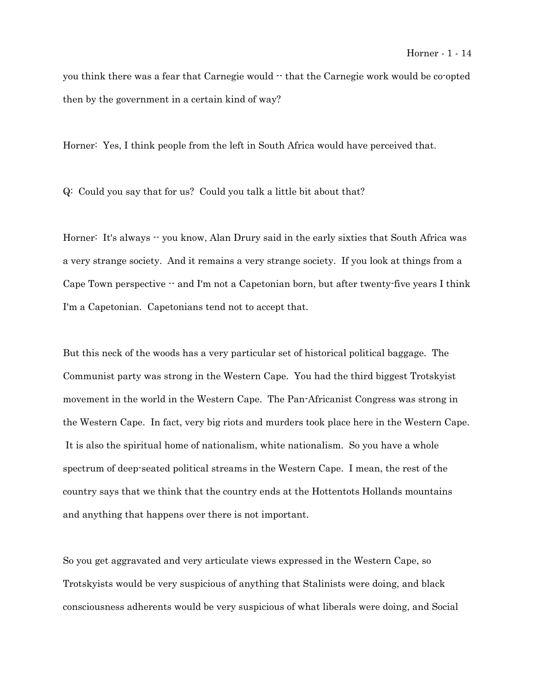you think there was a fear that Carnegie would  $\cdot$  that the Carnegie work would be co-opted then by the government in a certain kind of way?

Horner: Yes, I think people from the left in South Africa would have perceived that.

Q: Could you say that for us? Could you talk a little bit about that?

Horner: It's always  $\cdot$  you know, Alan Drury said in the early sixties that South Africa was a very strange society. And it remains a very strange society. If you look at things from a Cape Town perspective  $-$  and I'm not a Capetonian born, but after twenty-five years I think I'm a Capetonian. Capetonians tend not to accept that.

But this neck of the woods has a very particular set of historical political baggage. The Communist party was strong in the Western Cape. You had the third biggest Trotskyist movement in the world in the Western Cape. The Pan-Africanist Congress was strong in the Western Cape. In fact, very big riots and murders took place here in the Western Cape. It is also the spiritual home of nationalism, white nationalism. So you have a whole spectrum of deep-seated political streams in the Western Cape. I mean, the rest of the country says that we think that the country ends at the Hottentots Hollands mountains and anything that happens over there is not important.

So you get aggravated and very articulate views expressed in the Western Cape, so Trotskyists would be very suspicious of anything that Stalinists were doing, and black consciousness adherents would be very suspicious of what liberals were doing, and Social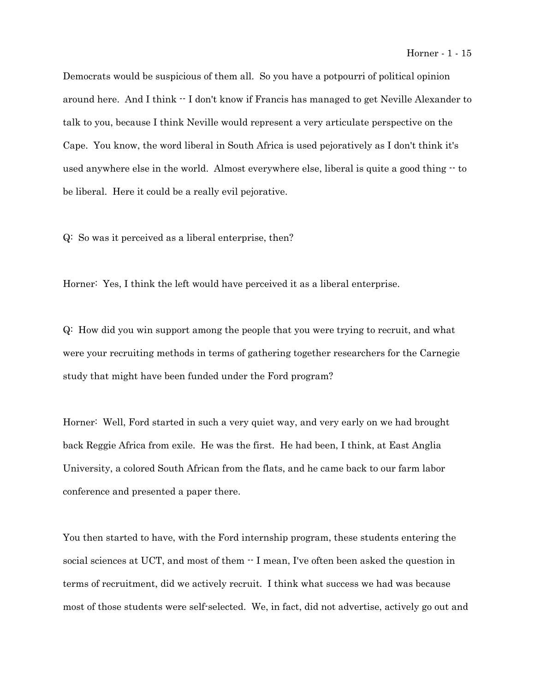Democrats would be suspicious of them all. So you have a potpourri of political opinion around here. And I think -- I don't know if Francis has managed to get Neville Alexander to talk to you, because I think Neville would represent a very articulate perspective on the Cape. You know, the word liberal in South Africa is used pejoratively as I don't think it's used anywhere else in the world. Almost everywhere else, liberal is quite a good thing -- to be liberal. Here it could be a really evil pejorative.

Q: So was it perceived as a liberal enterprise, then?

Horner: Yes, I think the left would have perceived it as a liberal enterprise.

Q: How did you win support among the people that you were trying to recruit, and what were your recruiting methods in terms of gathering together researchers for the Carnegie study that might have been funded under the Ford program?

Horner: Well, Ford started in such a very quiet way, and very early on we had brought back Reggie Africa from exile. He was the first. He had been, I think, at East Anglia University, a colored South African from the flats, and he came back to our farm labor conference and presented a paper there.

You then started to have, with the Ford internship program, these students entering the social sciences at UCT, and most of them  $\cdot$  I mean, I've often been asked the question in terms of recruitment, did we actively recruit. I think what success we had was because most of those students were self-selected. We, in fact, did not advertise, actively go out and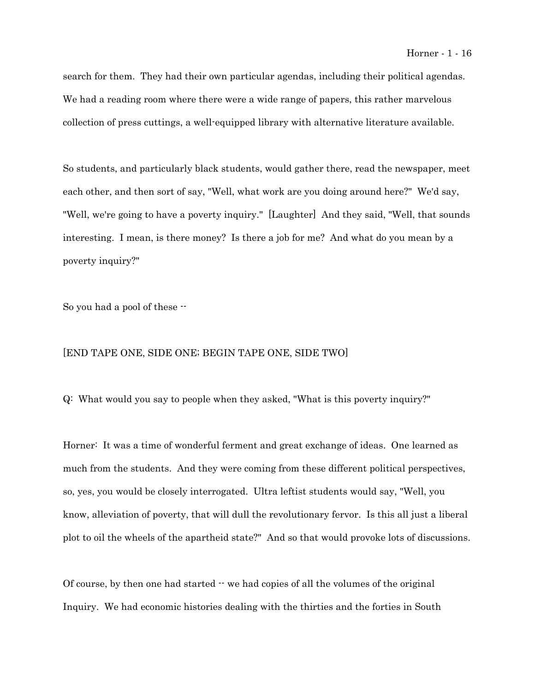search for them. They had their own particular agendas, including their political agendas. We had a reading room where there were a wide range of papers, this rather marvelous collection of press cuttings, a well-equipped library with alternative literature available.

So students, and particularly black students, would gather there, read the newspaper, meet each other, and then sort of say, "Well, what work are you doing around here?" We'd say, "Well, we're going to have a poverty inquiry." [Laughter] And they said, "Well, that sounds interesting. I mean, is there money? Is there a job for me? And what do you mean by a poverty inquiry?"

So you had a pool of these --

# [END TAPE ONE, SIDE ONE; BEGIN TAPE ONE, SIDE TWO]

Q: What would you say to people when they asked, "What is this poverty inquiry?"

Horner: It was a time of wonderful ferment and great exchange of ideas. One learned as much from the students. And they were coming from these different political perspectives, so, yes, you would be closely interrogated. Ultra leftist students would say, "Well, you know, alleviation of poverty, that will dull the revolutionary fervor. Is this all just a liberal plot to oil the wheels of the apartheid state?" And so that would provoke lots of discussions.

Of course, by then one had started  $\cdot$  we had copies of all the volumes of the original Inquiry. We had economic histories dealing with the thirties and the forties in South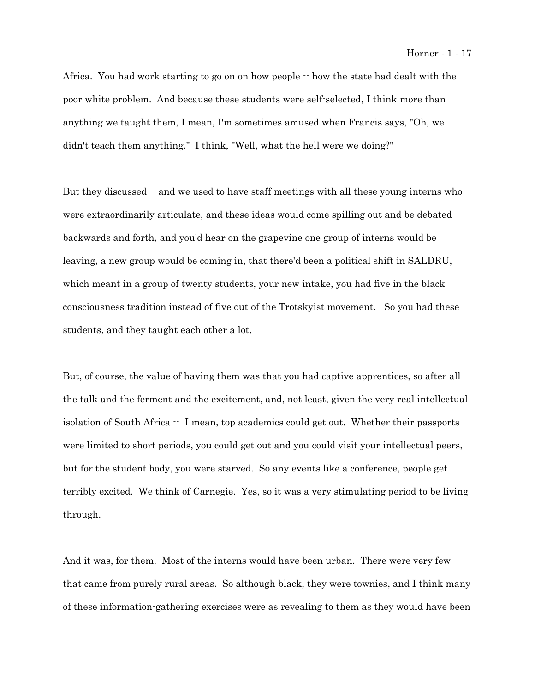Africa. You had work starting to go on on how people  $\cdot$  how the state had dealt with the poor white problem. And because these students were self-selected, I think more than anything we taught them, I mean, I'm sometimes amused when Francis says, "Oh, we didn't teach them anything." I think, "Well, what the hell were we doing?"

But they discussed  $-$  and we used to have staff meetings with all these young interns who were extraordinarily articulate, and these ideas would come spilling out and be debated backwards and forth, and you'd hear on the grapevine one group of interns would be leaving, a new group would be coming in, that there'd been a political shift in SALDRU, which meant in a group of twenty students, your new intake, you had five in the black consciousness tradition instead of five out of the Trotskyist movement. So you had these students, and they taught each other a lot.

But, of course, the value of having them was that you had captive apprentices, so after all the talk and the ferment and the excitement, and, not least, given the very real intellectual isolation of South Africa -- I mean, top academics could get out. Whether their passports were limited to short periods, you could get out and you could visit your intellectual peers, but for the student body, you were starved. So any events like a conference, people get terribly excited. We think of Carnegie. Yes, so it was a very stimulating period to be living through.

And it was, for them. Most of the interns would have been urban. There were very few that came from purely rural areas. So although black, they were townies, and I think many of these information-gathering exercises were as revealing to them as they would have been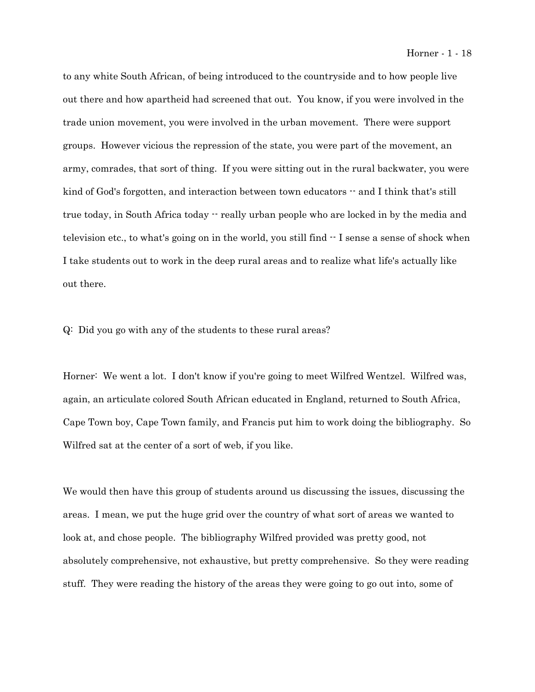to any white South African, of being introduced to the countryside and to how people live out there and how apartheid had screened that out. You know, if you were involved in the trade union movement, you were involved in the urban movement. There were support groups. However vicious the repression of the state, you were part of the movement, an army, comrades, that sort of thing. If you were sitting out in the rural backwater, you were kind of God's forgotten, and interaction between town educators  $-$  and I think that's still true today, in South Africa today  $\cdot$  really urban people who are locked in by the media and television etc., to what's going on in the world, you still find -- I sense a sense of shock when I take students out to work in the deep rural areas and to realize what life's actually like out there.

Q: Did you go with any of the students to these rural areas?

Horner: We went a lot. I don't know if you're going to meet Wilfred Wentzel. Wilfred was, again, an articulate colored South African educated in England, returned to South Africa, Cape Town boy, Cape Town family, and Francis put him to work doing the bibliography. So Wilfred sat at the center of a sort of web, if you like.

We would then have this group of students around us discussing the issues, discussing the areas. I mean, we put the huge grid over the country of what sort of areas we wanted to look at, and chose people. The bibliography Wilfred provided was pretty good, not absolutely comprehensive, not exhaustive, but pretty comprehensive. So they were reading stuff. They were reading the history of the areas they were going to go out into, some of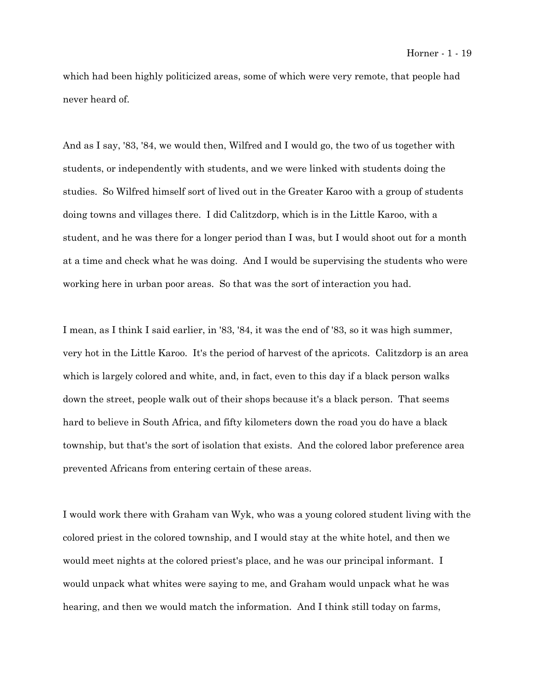which had been highly politicized areas, some of which were very remote, that people had never heard of.

And as I say, '83, '84, we would then, Wilfred and I would go, the two of us together with students, or independently with students, and we were linked with students doing the studies. So Wilfred himself sort of lived out in the Greater Karoo with a group of students doing towns and villages there. I did Calitzdorp, which is in the Little Karoo, with a student, and he was there for a longer period than I was, but I would shoot out for a month at a time and check what he was doing. And I would be supervising the students who were working here in urban poor areas. So that was the sort of interaction you had.

I mean, as I think I said earlier, in '83, '84, it was the end of '83, so it was high summer, very hot in the Little Karoo. It's the period of harvest of the apricots. Calitzdorp is an area which is largely colored and white, and, in fact, even to this day if a black person walks down the street, people walk out of their shops because it's a black person. That seems hard to believe in South Africa, and fifty kilometers down the road you do have a black township, but that's the sort of isolation that exists. And the colored labor preference area prevented Africans from entering certain of these areas.

I would work there with Graham van Wyk, who was a young colored student living with the colored priest in the colored township, and I would stay at the white hotel, and then we would meet nights at the colored priest's place, and he was our principal informant. I would unpack what whites were saying to me, and Graham would unpack what he was hearing, and then we would match the information. And I think still today on farms,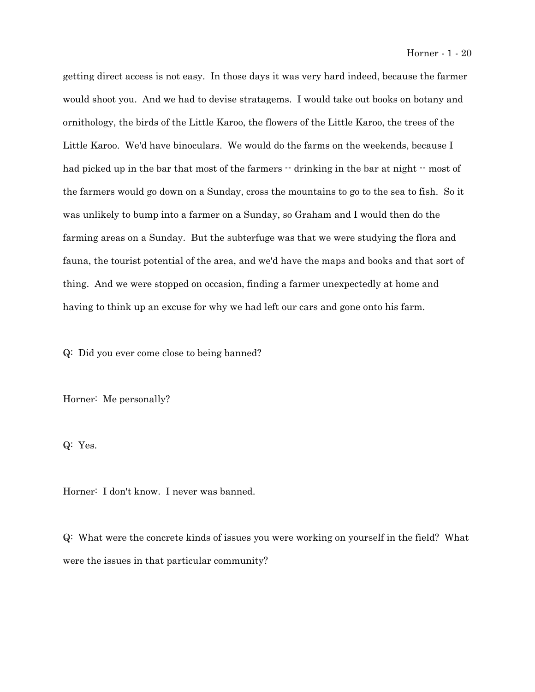getting direct access is not easy. In those days it was very hard indeed, because the farmer would shoot you. And we had to devise stratagems. I would take out books on botany and ornithology, the birds of the Little Karoo, the flowers of the Little Karoo, the trees of the Little Karoo. We'd have binoculars. We would do the farms on the weekends, because I had picked up in the bar that most of the farmers  $\cdot$  drinking in the bar at night  $\cdot$  most of the farmers would go down on a Sunday, cross the mountains to go to the sea to fish. So it was unlikely to bump into a farmer on a Sunday, so Graham and I would then do the farming areas on a Sunday. But the subterfuge was that we were studying the flora and fauna, the tourist potential of the area, and we'd have the maps and books and that sort of thing. And we were stopped on occasion, finding a farmer unexpectedly at home and having to think up an excuse for why we had left our cars and gone onto his farm.

Q: Did you ever come close to being banned?

Horner: Me personally?

Q: Yes.

Horner: I don't know. I never was banned.

Q: What were the concrete kinds of issues you were working on yourself in the field? What were the issues in that particular community?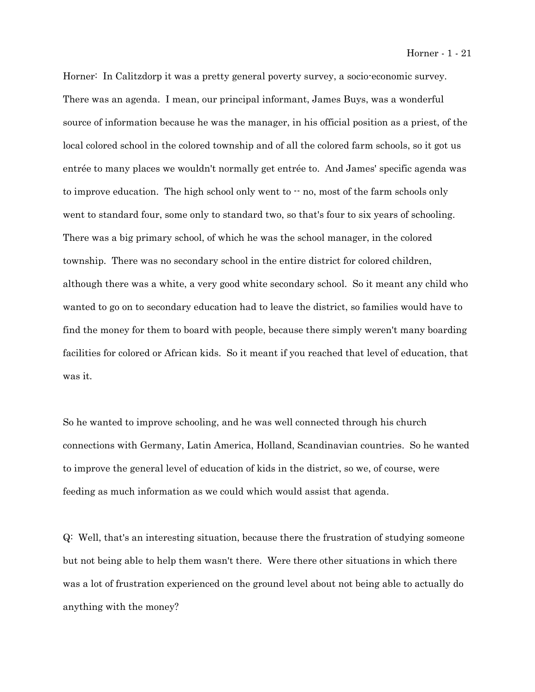Horner: In Calitzdorp it was a pretty general poverty survey, a socio-economic survey. There was an agenda. I mean, our principal informant, James Buys, was a wonderful source of information because he was the manager, in his official position as a priest, of the local colored school in the colored township and of all the colored farm schools, so it got us entrée to many places we wouldn't normally get entrée to. And James' specific agenda was to improve education. The high school only went to  $-$  no, most of the farm schools only went to standard four, some only to standard two, so that's four to six years of schooling. There was a big primary school, of which he was the school manager, in the colored township. There was no secondary school in the entire district for colored children, although there was a white, a very good white secondary school. So it meant any child who wanted to go on to secondary education had to leave the district, so families would have to find the money for them to board with people, because there simply weren't many boarding facilities for colored or African kids. So it meant if you reached that level of education, that was it.

So he wanted to improve schooling, and he was well connected through his church connections with Germany, Latin America, Holland, Scandinavian countries. So he wanted to improve the general level of education of kids in the district, so we, of course, were feeding as much information as we could which would assist that agenda.

Q: Well, that's an interesting situation, because there the frustration of studying someone but not being able to help them wasn't there. Were there other situations in which there was a lot of frustration experienced on the ground level about not being able to actually do anything with the money?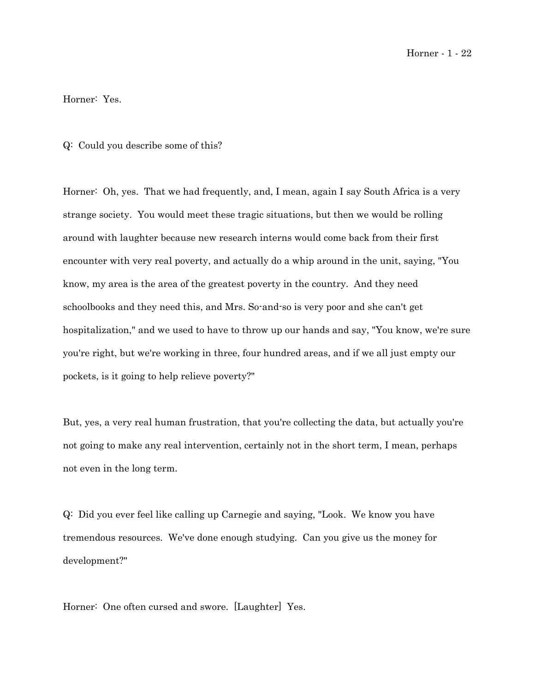Horner - 1 - 22

Horner: Yes.

## Q: Could you describe some of this?

Horner: Oh, yes. That we had frequently, and, I mean, again I say South Africa is a very strange society. You would meet these tragic situations, but then we would be rolling around with laughter because new research interns would come back from their first encounter with very real poverty, and actually do a whip around in the unit, saying, "You know, my area is the area of the greatest poverty in the country. And they need schoolbooks and they need this, and Mrs. So-and-so is very poor and she can't get hospitalization," and we used to have to throw up our hands and say, "You know, we're sure you're right, but we're working in three, four hundred areas, and if we all just empty our pockets, is it going to help relieve poverty?"

But, yes, a very real human frustration, that you're collecting the data, but actually you're not going to make any real intervention, certainly not in the short term, I mean, perhaps not even in the long term.

Q: Did you ever feel like calling up Carnegie and saying, "Look. We know you have tremendous resources. We've done enough studying. Can you give us the money for development?"

Horner: One often cursed and swore. [Laughter] Yes.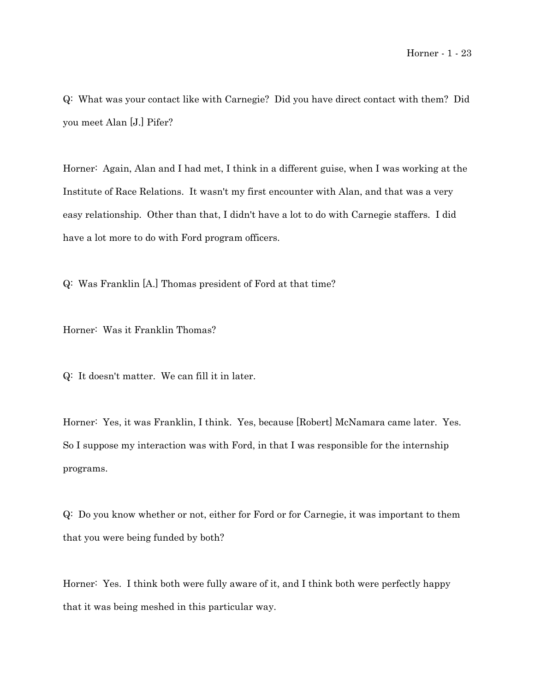Q: What was your contact like with Carnegie? Did you have direct contact with them? Did you meet Alan [J.] Pifer?

Horner: Again, Alan and I had met, I think in a different guise, when I was working at the Institute of Race Relations. It wasn't my first encounter with Alan, and that was a very easy relationship. Other than that, I didn't have a lot to do with Carnegie staffers. I did have a lot more to do with Ford program officers.

Q: Was Franklin [A.] Thomas president of Ford at that time?

Horner: Was it Franklin Thomas?

Q: It doesn't matter. We can fill it in later.

Horner: Yes, it was Franklin, I think. Yes, because [Robert] McNamara came later. Yes. So I suppose my interaction was with Ford, in that I was responsible for the internship programs.

Q: Do you know whether or not, either for Ford or for Carnegie, it was important to them that you were being funded by both?

Horner: Yes. I think both were fully aware of it, and I think both were perfectly happy that it was being meshed in this particular way.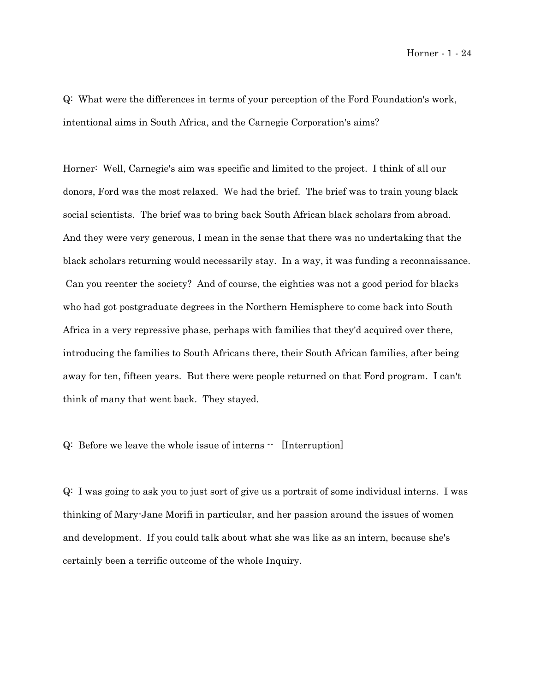Q: What were the differences in terms of your perception of the Ford Foundation's work, intentional aims in South Africa, and the Carnegie Corporation's aims?

Horner: Well, Carnegie's aim was specific and limited to the project. I think of all our donors, Ford was the most relaxed. We had the brief. The brief was to train young black social scientists. The brief was to bring back South African black scholars from abroad. And they were very generous, I mean in the sense that there was no undertaking that the black scholars returning would necessarily stay. In a way, it was funding a reconnaissance. Can you reenter the society? And of course, the eighties was not a good period for blacks who had got postgraduate degrees in the Northern Hemisphere to come back into South Africa in a very repressive phase, perhaps with families that they'd acquired over there, introducing the families to South Africans there, their South African families, after being away for ten, fifteen years. But there were people returned on that Ford program. I can't think of many that went back. They stayed.

Q: Before we leave the whole issue of interns  $\cdot$  [Interruption]

Q: I was going to ask you to just sort of give us a portrait of some individual interns. I was thinking of Mary-Jane Morifi in particular, and her passion around the issues of women and development. If you could talk about what she was like as an intern, because she's certainly been a terrific outcome of the whole Inquiry.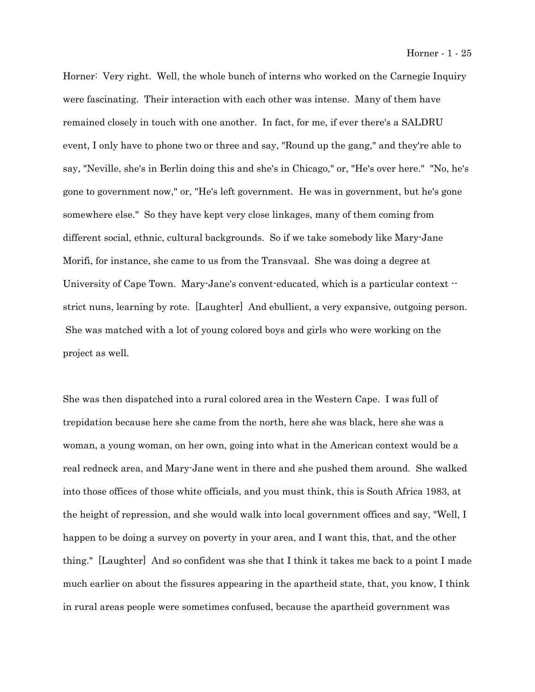Horner: Very right. Well, the whole bunch of interns who worked on the Carnegie Inquiry were fascinating. Their interaction with each other was intense. Many of them have remained closely in touch with one another. In fact, for me, if ever there's a SALDRU event, I only have to phone two or three and say, "Round up the gang," and they're able to say, "Neville, she's in Berlin doing this and she's in Chicago," or, "He's over here." "No, he's gone to government now," or, "He's left government. He was in government, but he's gone somewhere else." So they have kept very close linkages, many of them coming from different social, ethnic, cultural backgrounds. So if we take somebody like Mary-Jane Morifi, for instance, she came to us from the Transvaal. She was doing a degree at University of Cape Town. Mary-Jane's convent-educated, which is a particular context  $\cdot$ strict nuns, learning by rote. [Laughter] And ebullient, a very expansive, outgoing person. She was matched with a lot of young colored boys and girls who were working on the project as well.

She was then dispatched into a rural colored area in the Western Cape. I was full of trepidation because here she came from the north, here she was black, here she was a woman, a young woman, on her own, going into what in the American context would be a real redneck area, and Mary-Jane went in there and she pushed them around. She walked into those offices of those white officials, and you must think, this is South Africa 1983, at the height of repression, and she would walk into local government offices and say, "Well, I happen to be doing a survey on poverty in your area, and I want this, that, and the other thing." [Laughter] And so confident was she that I think it takes me back to a point I made much earlier on about the fissures appearing in the apartheid state, that, you know, I think in rural areas people were sometimes confused, because the apartheid government was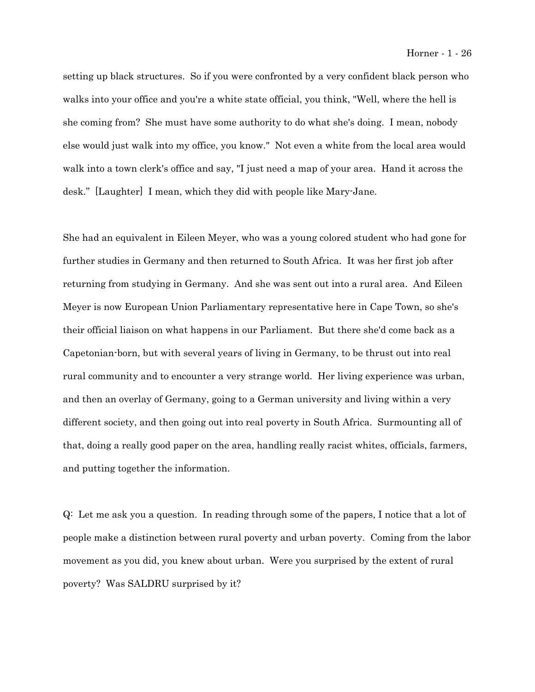setting up black structures. So if you were confronted by a very confident black person who walks into your office and you're a white state official, you think, "Well, where the hell is she coming from? She must have some authority to do what she's doing. I mean, nobody else would just walk into my office, you know." Not even a white from the local area would walk into a town clerk's office and say, "I just need a map of your area. Hand it across the desk." [Laughter] I mean, which they did with people like Mary-Jane.

She had an equivalent in Eileen Meyer, who was a young colored student who had gone for further studies in Germany and then returned to South Africa. It was her first job after returning from studying in Germany. And she was sent out into a rural area. And Eileen Meyer is now European Union Parliamentary representative here in Cape Town, so she's their official liaison on what happens in our Parliament. But there she'd come back as a Capetonian-born, but with several years of living in Germany, to be thrust out into real rural community and to encounter a very strange world. Her living experience was urban, and then an overlay of Germany, going to a German university and living within a very different society, and then going out into real poverty in South Africa. Surmounting all of that, doing a really good paper on the area, handling really racist whites, officials, farmers, and putting together the information.

Q: Let me ask you a question. In reading through some of the papers, I notice that a lot of people make a distinction between rural poverty and urban poverty. Coming from the labor movement as you did, you knew about urban. Were you surprised by the extent of rural poverty? Was SALDRU surprised by it?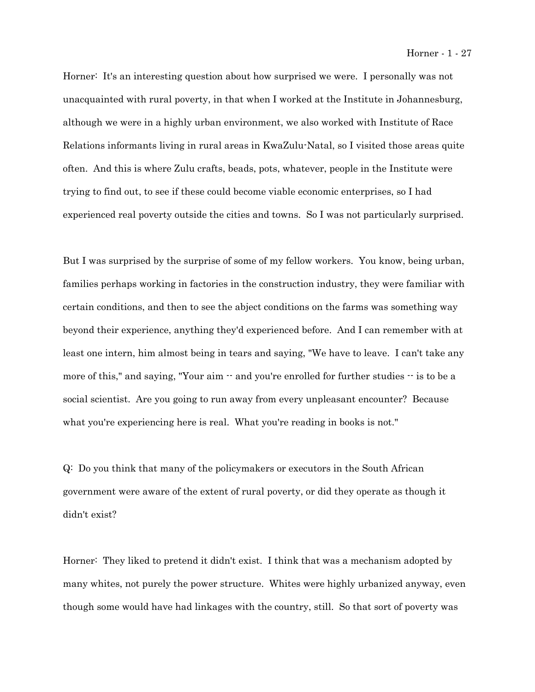Horner: It's an interesting question about how surprised we were. I personally was not unacquainted with rural poverty, in that when I worked at the Institute in Johannesburg, although we were in a highly urban environment, we also worked with Institute of Race Relations informants living in rural areas in KwaZulu-Natal, so I visited those areas quite often. And this is where Zulu crafts, beads, pots, whatever, people in the Institute were trying to find out, to see if these could become viable economic enterprises, so I had experienced real poverty outside the cities and towns. So I was not particularly surprised.

But I was surprised by the surprise of some of my fellow workers. You know, being urban, families perhaps working in factories in the construction industry, they were familiar with certain conditions, and then to see the abject conditions on the farms was something way beyond their experience, anything they'd experienced before. And I can remember with at least one intern, him almost being in tears and saying, "We have to leave. I can't take any more of this," and saying, "Your aim  $\cdot$  and you're enrolled for further studies  $\cdot\cdot$  is to be a social scientist. Are you going to run away from every unpleasant encounter? Because what you're experiencing here is real. What you're reading in books is not."

Q: Do you think that many of the policymakers or executors in the South African government were aware of the extent of rural poverty, or did they operate as though it didn't exist?

Horner: They liked to pretend it didn't exist. I think that was a mechanism adopted by many whites, not purely the power structure. Whites were highly urbanized anyway, even though some would have had linkages with the country, still. So that sort of poverty was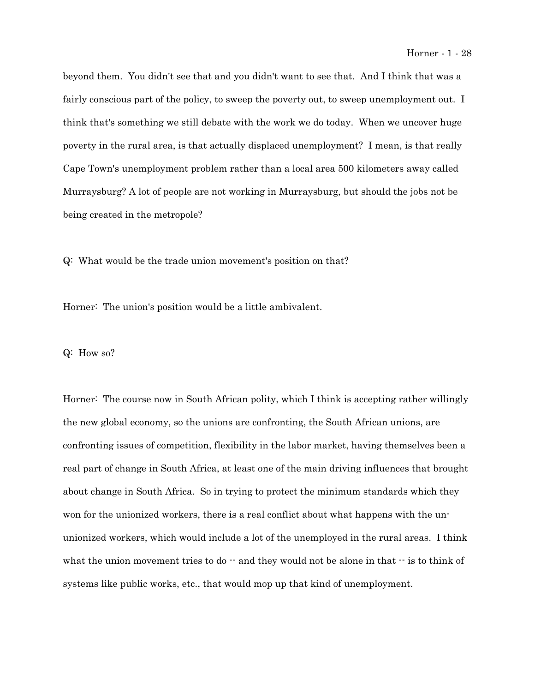beyond them. You didn't see that and you didn't want to see that. And I think that was a fairly conscious part of the policy, to sweep the poverty out, to sweep unemployment out. I think that's something we still debate with the work we do today. When we uncover huge poverty in the rural area, is that actually displaced unemployment? I mean, is that really Cape Town's unemployment problem rather than a local area 500 kilometers away called Murraysburg? A lot of people are not working in Murraysburg, but should the jobs not be being created in the metropole?

Q: What would be the trade union movement's position on that?

Horner: The union's position would be a little ambivalent.

Q: How so?

Horner: The course now in South African polity, which I think is accepting rather willingly the new global economy, so the unions are confronting, the South African unions, are confronting issues of competition, flexibility in the labor market, having themselves been a real part of change in South Africa, at least one of the main driving influences that brought about change in South Africa. So in trying to protect the minimum standards which they won for the unionized workers, there is a real conflict about what happens with the ununionized workers, which would include a lot of the unemployed in the rural areas. I think what the union movement tries to do  $-$  and they would not be alone in that  $-$  is to think of systems like public works, etc., that would mop up that kind of unemployment.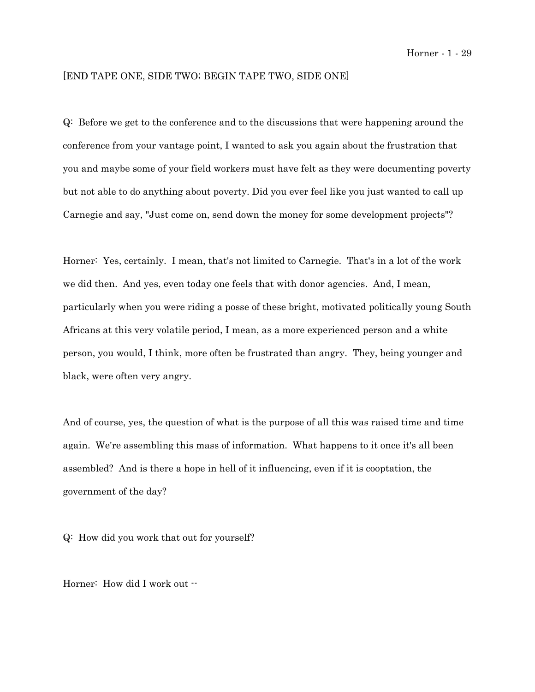# [END TAPE ONE, SIDE TWO; BEGIN TAPE TWO, SIDE ONE]

Q: Before we get to the conference and to the discussions that were happening around the conference from your vantage point, I wanted to ask you again about the frustration that you and maybe some of your field workers must have felt as they were documenting poverty but not able to do anything about poverty. Did you ever feel like you just wanted to call up Carnegie and say, "Just come on, send down the money for some development projects"?

Horner: Yes, certainly. I mean, that's not limited to Carnegie. That's in a lot of the work we did then. And yes, even today one feels that with donor agencies. And, I mean, particularly when you were riding a posse of these bright, motivated politically young South Africans at this very volatile period, I mean, as a more experienced person and a white person, you would, I think, more often be frustrated than angry. They, being younger and black, were often very angry.

And of course, yes, the question of what is the purpose of all this was raised time and time again. We're assembling this mass of information. What happens to it once it's all been assembled? And is there a hope in hell of it influencing, even if it is cooptation, the government of the day?

Q: How did you work that out for yourself?

Horner: How did I work out  $\cdot\cdot$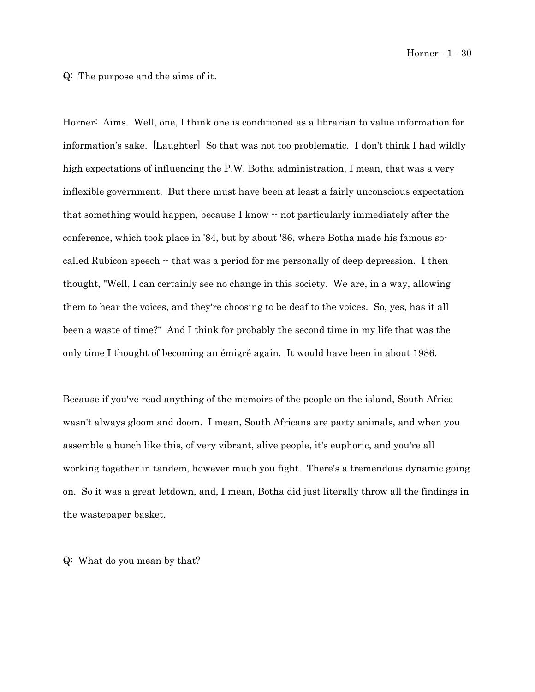Horner - 1 - 30

Q: The purpose and the aims of it.

Horner: Aims. Well, one, I think one is conditioned as a librarian to value information for information's sake. [Laughter] So that was not too problematic. I don't think I had wildly high expectations of influencing the P.W. Botha administration, I mean, that was a very inflexible government. But there must have been at least a fairly unconscious expectation that something would happen, because  $I$  know  $\cdot$  not particularly immediately after the conference, which took place in '84, but by about '86, where Botha made his famous socalled Rubicon speech  $\cdot$  that was a period for me personally of deep depression. I then thought, "Well, I can certainly see no change in this society. We are, in a way, allowing them to hear the voices, and they're choosing to be deaf to the voices. So, yes, has it all been a waste of time?" And I think for probably the second time in my life that was the only time I thought of becoming an émigré again. It would have been in about 1986.

Because if you've read anything of the memoirs of the people on the island, South Africa wasn't always gloom and doom. I mean, South Africans are party animals, and when you assemble a bunch like this, of very vibrant, alive people, it's euphoric, and you're all working together in tandem, however much you fight. There's a tremendous dynamic going on. So it was a great letdown, and, I mean, Botha did just literally throw all the findings in the wastepaper basket.

Q: What do you mean by that?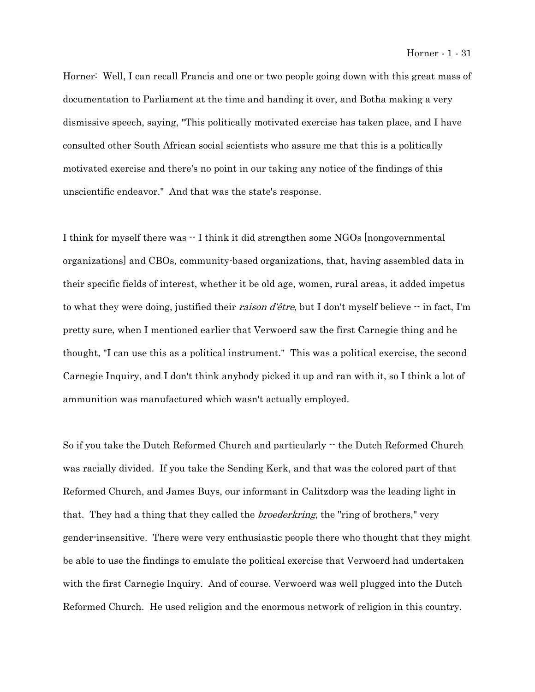Horner: Well, I can recall Francis and one or two people going down with this great mass of documentation to Parliament at the time and handing it over, and Botha making a very dismissive speech, saying, "This politically motivated exercise has taken place, and I have consulted other South African social scientists who assure me that this is a politically motivated exercise and there's no point in our taking any notice of the findings of this unscientific endeavor." And that was the state's response.

I think for myself there was  $\cdot$  I think it did strengthen some NGOs [nongovernmental] organizations] and CBOs, community-based organizations, that, having assembled data in their specific fields of interest, whether it be old age, women, rural areas, it added impetus to what they were doing, justified their raison d'être, but I don't myself believe -- in fact, I'm pretty sure, when I mentioned earlier that Verwoerd saw the first Carnegie thing and he thought, "I can use this as a political instrument." This was a political exercise, the second Carnegie Inquiry, and I don't think anybody picked it up and ran with it, so I think a lot of ammunition was manufactured which wasn't actually employed.

So if you take the Dutch Reformed Church and particularly  $\cdot$  the Dutch Reformed Church was racially divided. If you take the Sending Kerk, and that was the colored part of that Reformed Church, and James Buys, our informant in Calitzdorp was the leading light in that. They had a thing that they called the *broederkring*, the "ring of brothers," very gender-insensitive. There were very enthusiastic people there who thought that they might be able to use the findings to emulate the political exercise that Verwoerd had undertaken with the first Carnegie Inquiry. And of course, Verwoerd was well plugged into the Dutch Reformed Church. He used religion and the enormous network of religion in this country.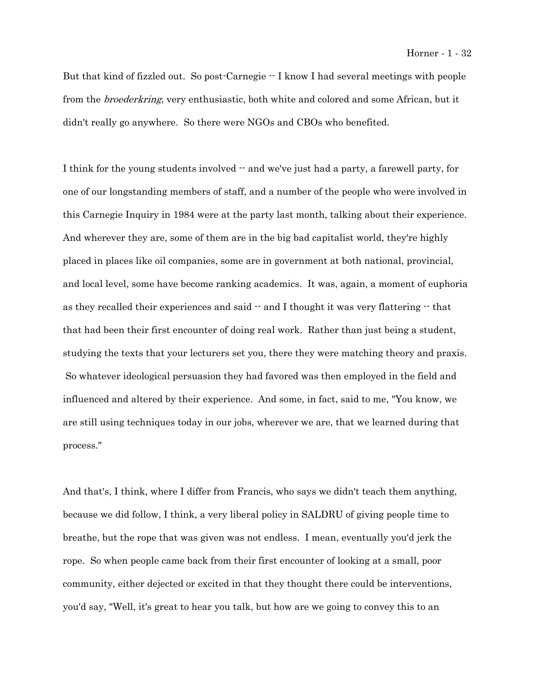But that kind of fizzled out. So post-Carnegie  $-$  I know I had several meetings with people from the *broederkring*, very enthusiastic, both white and colored and some African, but it didn't really go anywhere. So there were NGOs and CBOs who benefited.

I think for the young students involved  $-$  and we've just had a party, a farewell party, for one of our longstanding members of staff, and a number of the people who were involved in this Carnegie Inquiry in 1984 were at the party last month, talking about their experience. And wherever they are, some of them are in the big bad capitalist world, they're highly placed in places like oil companies, some are in government at both national, provincial, and local level, some have become ranking academics. It was, again, a moment of euphoria as they recalled their experiences and said  $-$  and I thought it was very flattering  $-$  that that had been their first encounter of doing real work. Rather than just being a student, studying the texts that your lecturers set you, there they were matching theory and praxis. So whatever ideological persuasion they had favored was then employed in the field and influenced and altered by their experience. And some, in fact, said to me, "You know, we are still using techniques today in our jobs, wherever we are, that we learned during that process."

And that's, I think, where I differ from Francis, who says we didn't teach them anything, because we did follow, I think, a very liberal policy in SALDRU of giving people time to breathe, but the rope that was given was not endless. I mean, eventually you'd jerk the rope. So when people came back from their first encounter of looking at a small, poor community, either dejected or excited in that they thought there could be interventions, you'd say, "Well, it's great to hear you talk, but how are we going to convey this to an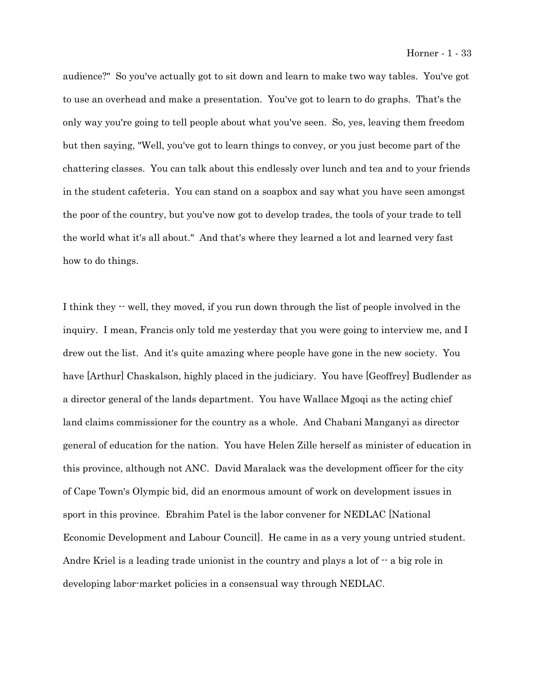audience?" So you've actually got to sit down and learn to make two way tables. You've got to use an overhead and make a presentation. You've got to learn to do graphs. That's the only way you're going to tell people about what you've seen. So, yes, leaving them freedom but then saying, "Well, you've got to learn things to convey, or you just become part of the chattering classes. You can talk about this endlessly over lunch and tea and to your friends in the student cafeteria. You can stand on a soapbox and say what you have seen amongst the poor of the country, but you've now got to develop trades, the tools of your trade to tell the world what it's all about." And that's where they learned a lot and learned very fast how to do things.

I think they -- well, they moved, if you run down through the list of people involved in the inquiry. I mean, Francis only told me yesterday that you were going to interview me, and I drew out the list. And it's quite amazing where people have gone in the new society. You have [Arthur] Chaskalson, highly placed in the judiciary. You have [Geoffrey] Budlender as a director general of the lands department. You have Wallace Mgoqi as the acting chief land claims commissioner for the country as a whole. And Chabani Manganyi as director general of education for the nation. You have Helen Zille herself as minister of education in this province, although not ANC. David Maralack was the development officer for the city of Cape Town's Olympic bid, did an enormous amount of work on development issues in sport in this province. Ebrahim Patel is the labor convener for NEDLAC [National Economic Development and Labour Council]. He came in as a very young untried student. Andre Kriel is a leading trade unionist in the country and plays a lot of  $-$  a big role in developing labor-market policies in a consensual way through NEDLAC.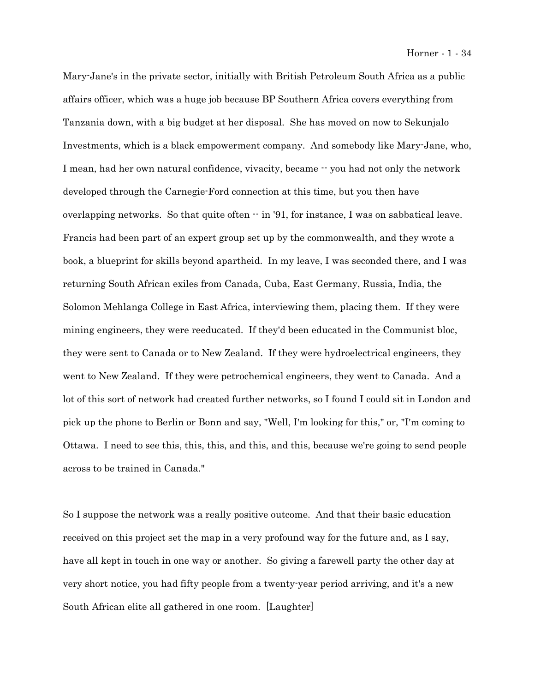Mary-Jane's in the private sector, initially with British Petroleum South Africa as a public affairs officer, which was a huge job because BP Southern Africa covers everything from Tanzania down, with a big budget at her disposal. She has moved on now to Sekunjalo Investments, which is a black empowerment company. And somebody like Mary-Jane, who, I mean, had her own natural confidence, vivacity, became  $\cdot \cdot$  you had not only the network developed through the Carnegie-Ford connection at this time, but you then have overlapping networks. So that quite often  $\cdot \cdot$  in '91, for instance, I was on sabbatical leave. Francis had been part of an expert group set up by the commonwealth, and they wrote a book, a blueprint for skills beyond apartheid. In my leave, I was seconded there, and I was returning South African exiles from Canada, Cuba, East Germany, Russia, India, the Solomon Mehlanga College in East Africa, interviewing them, placing them. If they were mining engineers, they were reeducated. If they'd been educated in the Communist bloc, they were sent to Canada or to New Zealand. If they were hydroelectrical engineers, they went to New Zealand. If they were petrochemical engineers, they went to Canada. And a lot of this sort of network had created further networks, so I found I could sit in London and pick up the phone to Berlin or Bonn and say, "Well, I'm looking for this," or, "I'm coming to Ottawa. I need to see this, this, this, and this, and this, because we're going to send people across to be trained in Canada."

So I suppose the network was a really positive outcome. And that their basic education received on this project set the map in a very profound way for the future and, as I say, have all kept in touch in one way or another. So giving a farewell party the other day at very short notice, you had fifty people from a twenty-year period arriving, and it's a new South African elite all gathered in one room. [Laughter]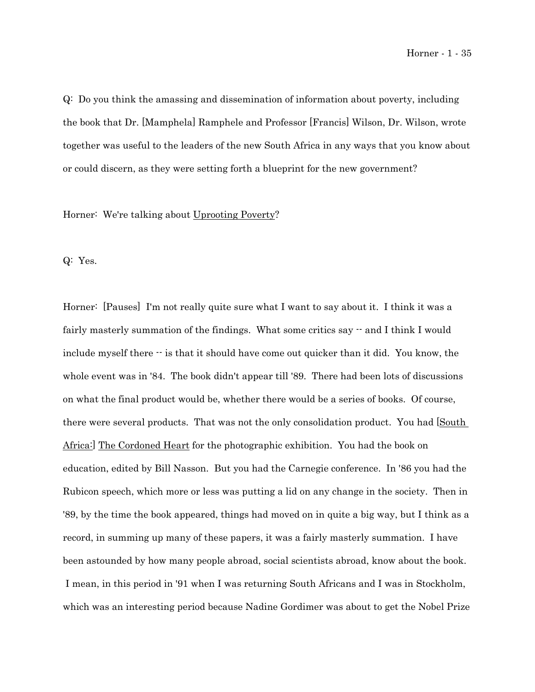Q: Do you think the amassing and dissemination of information about poverty, including the book that Dr. [Mamphela] Ramphele and Professor [Francis] Wilson, Dr. Wilson, wrote together was useful to the leaders of the new South Africa in any ways that you know about or could discern, as they were setting forth a blueprint for the new government?

Horner: We're talking about Uprooting Poverty?

Q: Yes.

Horner: [Pauses] I'm not really quite sure what I want to say about it. I think it was a fairly masterly summation of the findings. What some critics say  $\cdot$  and I think I would include myself there  $\cdot\cdot$  is that it should have come out quicker than it did. You know, the whole event was in '84. The book didn't appear till '89. There had been lots of discussions on what the final product would be, whether there would be a series of books. Of course, there were several products. That was not the only consolidation product. You had [South Africa:] The Cordoned Heart for the photographic exhibition. You had the book on education, edited by Bill Nasson. But you had the Carnegie conference. In '86 you had the Rubicon speech, which more or less was putting a lid on any change in the society. Then in '89, by the time the book appeared, things had moved on in quite a big way, but I think as a record, in summing up many of these papers, it was a fairly masterly summation. I have been astounded by how many people abroad, social scientists abroad, know about the book. I mean, in this period in '91 when I was returning South Africans and I was in Stockholm, which was an interesting period because Nadine Gordimer was about to get the Nobel Prize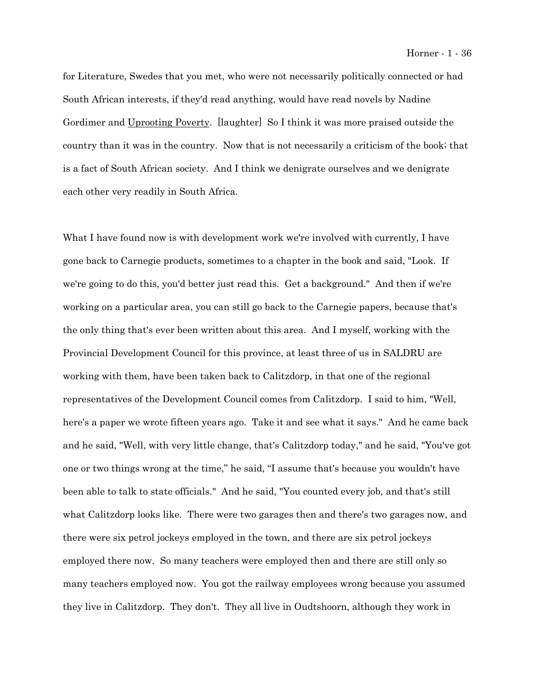for Literature, Swedes that you met, who were not necessarily politically connected or had South African interests, if they'd read anything, would have read novels by Nadine Gordimer and Uprooting Poverty. [laughter] So I think it was more praised outside the country than it was in the country. Now that is not necessarily a criticism of the book; that is a fact of South African society. And I think we denigrate ourselves and we denigrate each other very readily in South Africa.

What I have found now is with development work we're involved with currently, I have gone back to Carnegie products, sometimes to a chapter in the book and said, "Look. If we're going to do this, you'd better just read this. Get a background." And then if we're working on a particular area, you can still go back to the Carnegie papers, because that's the only thing that's ever been written about this area. And I myself, working with the Provincial Development Council for this province, at least three of us in SALDRU are working with them, have been taken back to Calitzdorp, in that one of the regional representatives of the Development Council comes from Calitzdorp. I said to him, "Well, here's a paper we wrote fifteen years ago. Take it and see what it says." And he came back and he said, "Well, with very little change, that's Calitzdorp today," and he said, "You've got one or two things wrong at the time," he said, "I assume that's because you wouldn't have been able to talk to state officials." And he said, "You counted every job, and that's still what Calitzdorp looks like. There were two garages then and there's two garages now, and there were six petrol jockeys employed in the town, and there are six petrol jockeys employed there now. So many teachers were employed then and there are still only so many teachers employed now. You got the railway employees wrong because you assumed they live in Calitzdorp. They don't. They all live in Oudtshoorn, although they work in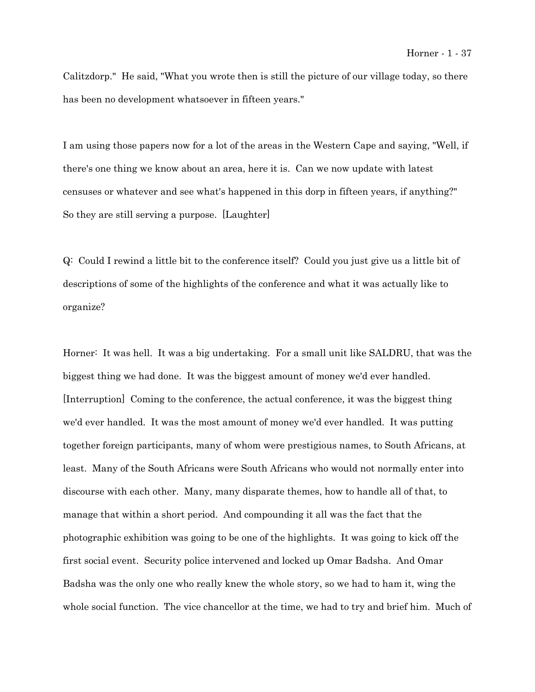Calitzdorp." He said, "What you wrote then is still the picture of our village today, so there has been no development whatsoever in fifteen years."

I am using those papers now for a lot of the areas in the Western Cape and saying, "Well, if there's one thing we know about an area, here it is. Can we now update with latest censuses or whatever and see what's happened in this dorp in fifteen years, if anything?" So they are still serving a purpose. [Laughter]

Q: Could I rewind a little bit to the conference itself? Could you just give us a little bit of descriptions of some of the highlights of the conference and what it was actually like to organize?

Horner: It was hell. It was a big undertaking. For a small unit like SALDRU, that was the biggest thing we had done. It was the biggest amount of money we'd ever handled. [Interruption] Coming to the conference, the actual conference, it was the biggest thing we'd ever handled. It was the most amount of money we'd ever handled. It was putting together foreign participants, many of whom were prestigious names, to South Africans, at least. Many of the South Africans were South Africans who would not normally enter into discourse with each other. Many, many disparate themes, how to handle all of that, to manage that within a short period. And compounding it all was the fact that the photographic exhibition was going to be one of the highlights. It was going to kick off the first social event. Security police intervened and locked up Omar Badsha. And Omar Badsha was the only one who really knew the whole story, so we had to ham it, wing the whole social function. The vice chancellor at the time, we had to try and brief him. Much of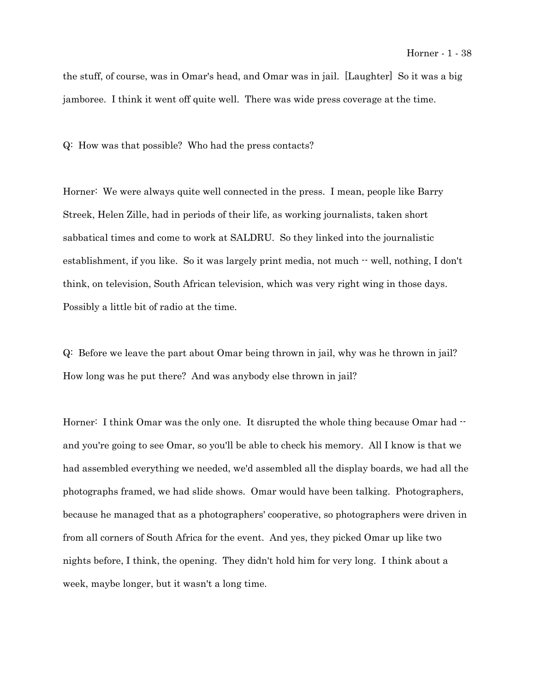the stuff, of course, was in Omar's head, and Omar was in jail. [Laughter] So it was a big jamboree. I think it went off quite well. There was wide press coverage at the time.

Q: How was that possible? Who had the press contacts?

Horner: We were always quite well connected in the press. I mean, people like Barry Streek, Helen Zille, had in periods of their life, as working journalists, taken short sabbatical times and come to work at SALDRU. So they linked into the journalistic establishment, if you like. So it was largely print media, not much  $\cdot$  well, nothing, I don't think, on television, South African television, which was very right wing in those days. Possibly a little bit of radio at the time.

Q: Before we leave the part about Omar being thrown in jail, why was he thrown in jail? How long was he put there? And was anybody else thrown in jail?

Horner: I think Omar was the only one. It disrupted the whole thing because Omar had  $$ and you're going to see Omar, so you'll be able to check his memory. All I know is that we had assembled everything we needed, we'd assembled all the display boards, we had all the photographs framed, we had slide shows. Omar would have been talking. Photographers, because he managed that as a photographers' cooperative, so photographers were driven in from all corners of South Africa for the event. And yes, they picked Omar up like two nights before, I think, the opening. They didn't hold him for very long. I think about a week, maybe longer, but it wasn't a long time.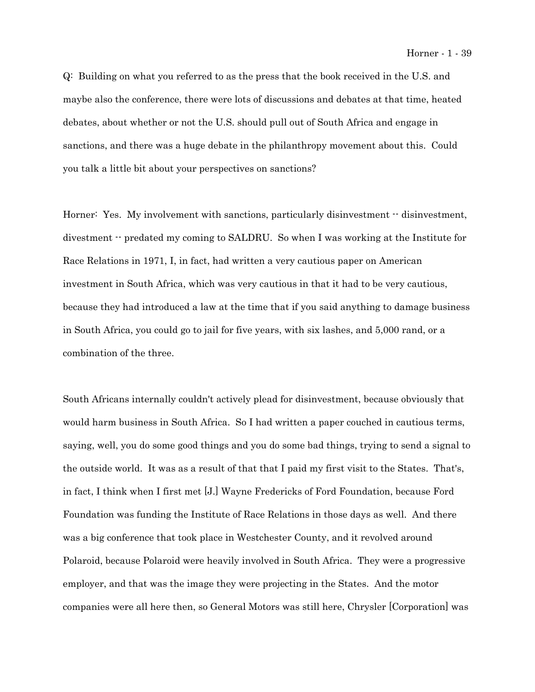Q: Building on what you referred to as the press that the book received in the U.S. and maybe also the conference, there were lots of discussions and debates at that time, heated debates, about whether or not the U.S. should pull out of South Africa and engage in sanctions, and there was a huge debate in the philanthropy movement about this. Could you talk a little bit about your perspectives on sanctions?

Horner: Yes. My involvement with sanctions, particularly disinvestment  $\cdot$  disinvestment, divestment -- predated my coming to SALDRU. So when I was working at the Institute for Race Relations in 1971, I, in fact, had written a very cautious paper on American investment in South Africa, which was very cautious in that it had to be very cautious, because they had introduced a law at the time that if you said anything to damage business in South Africa, you could go to jail for five years, with six lashes, and 5,000 rand, or a combination of the three.

South Africans internally couldn't actively plead for disinvestment, because obviously that would harm business in South Africa. So I had written a paper couched in cautious terms, saying, well, you do some good things and you do some bad things, trying to send a signal to the outside world. It was as a result of that that I paid my first visit to the States. That's, in fact, I think when I first met [J.] Wayne Fredericks of Ford Foundation, because Ford Foundation was funding the Institute of Race Relations in those days as well. And there was a big conference that took place in Westchester County, and it revolved around Polaroid, because Polaroid were heavily involved in South Africa. They were a progressive employer, and that was the image they were projecting in the States. And the motor companies were all here then, so General Motors was still here, Chrysler [Corporation] was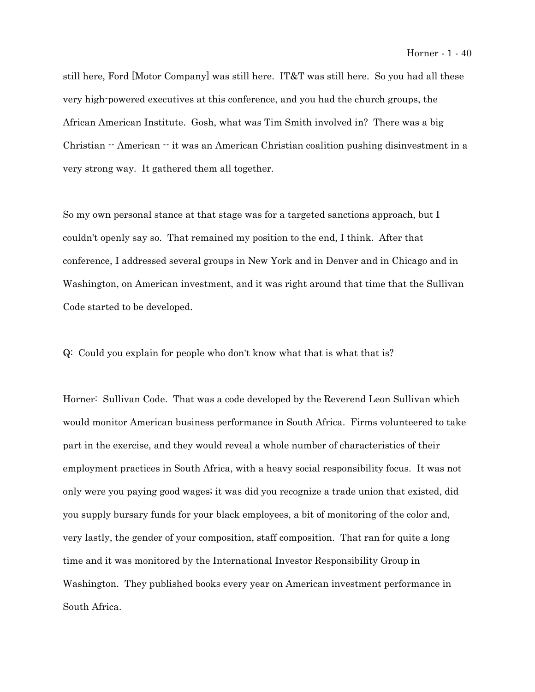still here, Ford [Motor Company] was still here. IT&T was still here. So you had all these very high-powered executives at this conference, and you had the church groups, the African American Institute. Gosh, what was Tim Smith involved in? There was a big Christian  $\cdot$  American  $\cdot$  it was an American Christian coalition pushing disinvestment in a very strong way. It gathered them all together.

So my own personal stance at that stage was for a targeted sanctions approach, but I couldn't openly say so. That remained my position to the end, I think. After that conference, I addressed several groups in New York and in Denver and in Chicago and in Washington, on American investment, and it was right around that time that the Sullivan Code started to be developed.

Q: Could you explain for people who don't know what that is what that is?

Horner: Sullivan Code. That was a code developed by the Reverend Leon Sullivan which would monitor American business performance in South Africa. Firms volunteered to take part in the exercise, and they would reveal a whole number of characteristics of their employment practices in South Africa, with a heavy social responsibility focus. It was not only were you paying good wages; it was did you recognize a trade union that existed, did you supply bursary funds for your black employees, a bit of monitoring of the color and, very lastly, the gender of your composition, staff composition. That ran for quite a long time and it was monitored by the International Investor Responsibility Group in Washington. They published books every year on American investment performance in South Africa.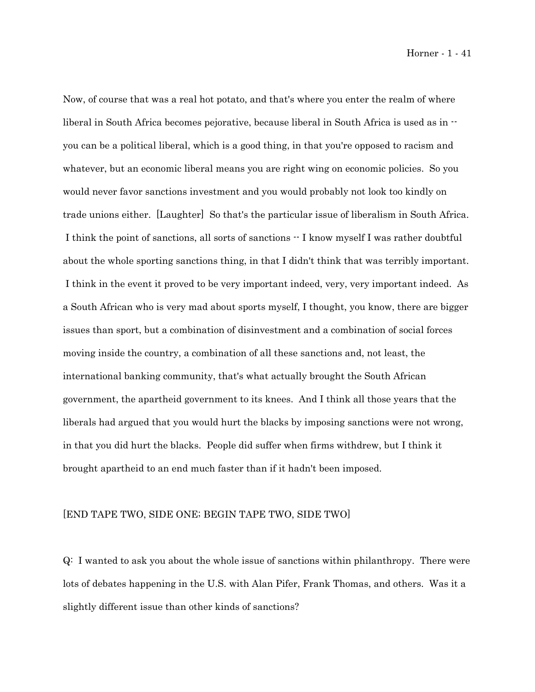Horner - 1 - 41

Now, of course that was a real hot potato, and that's where you enter the realm of where liberal in South Africa becomes pejorative, because liberal in South Africa is used as in  $\cdot$ you can be a political liberal, which is a good thing, in that you're opposed to racism and whatever, but an economic liberal means you are right wing on economic policies. So you would never favor sanctions investment and you would probably not look too kindly on trade unions either. [Laughter] So that's the particular issue of liberalism in South Africa. I think the point of sanctions, all sorts of sanctions -- I know myself I was rather doubtful about the whole sporting sanctions thing, in that I didn't think that was terribly important. I think in the event it proved to be very important indeed, very, very important indeed. As a South African who is very mad about sports myself, I thought, you know, there are bigger issues than sport, but a combination of disinvestment and a combination of social forces moving inside the country, a combination of all these sanctions and, not least, the international banking community, that's what actually brought the South African government, the apartheid government to its knees. And I think all those years that the liberals had argued that you would hurt the blacks by imposing sanctions were not wrong, in that you did hurt the blacks. People did suffer when firms withdrew, but I think it brought apartheid to an end much faster than if it hadn't been imposed.

# [END TAPE TWO, SIDE ONE; BEGIN TAPE TWO, SIDE TWO]

Q: I wanted to ask you about the whole issue of sanctions within philanthropy. There were lots of debates happening in the U.S. with Alan Pifer, Frank Thomas, and others. Was it a slightly different issue than other kinds of sanctions?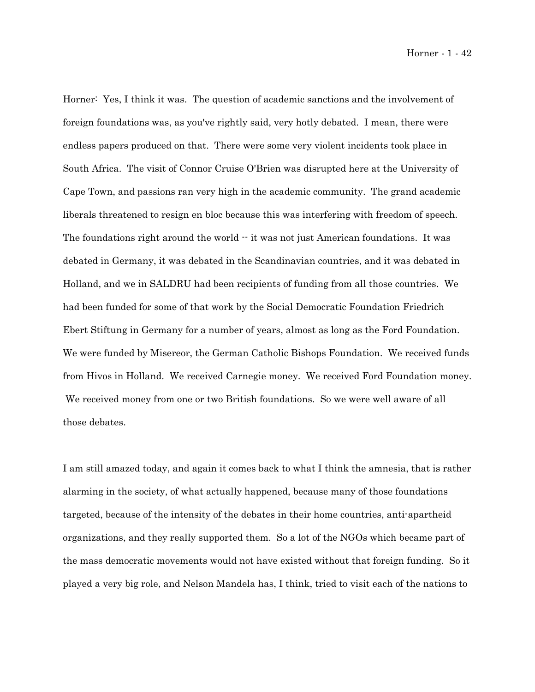Horner: Yes, I think it was. The question of academic sanctions and the involvement of foreign foundations was, as you've rightly said, very hotly debated. I mean, there were endless papers produced on that. There were some very violent incidents took place in South Africa. The visit of Connor Cruise O'Brien was disrupted here at the University of Cape Town, and passions ran very high in the academic community. The grand academic liberals threatened to resign en bloc because this was interfering with freedom of speech. The foundations right around the world  $\cdot\cdot$  it was not just American foundations. It was debated in Germany, it was debated in the Scandinavian countries, and it was debated in Holland, and we in SALDRU had been recipients of funding from all those countries. We had been funded for some of that work by the Social Democratic Foundation Friedrich Ebert Stiftung in Germany for a number of years, almost as long as the Ford Foundation. We were funded by Misereor, the German Catholic Bishops Foundation. We received funds from Hivos in Holland. We received Carnegie money. We received Ford Foundation money. We received money from one or two British foundations. So we were well aware of all those debates.

I am still amazed today, and again it comes back to what I think the amnesia, that is rather alarming in the society, of what actually happened, because many of those foundations targeted, because of the intensity of the debates in their home countries, anti-apartheid organizations, and they really supported them. So a lot of the NGOs which became part of the mass democratic movements would not have existed without that foreign funding. So it played a very big role, and Nelson Mandela has, I think, tried to visit each of the nations to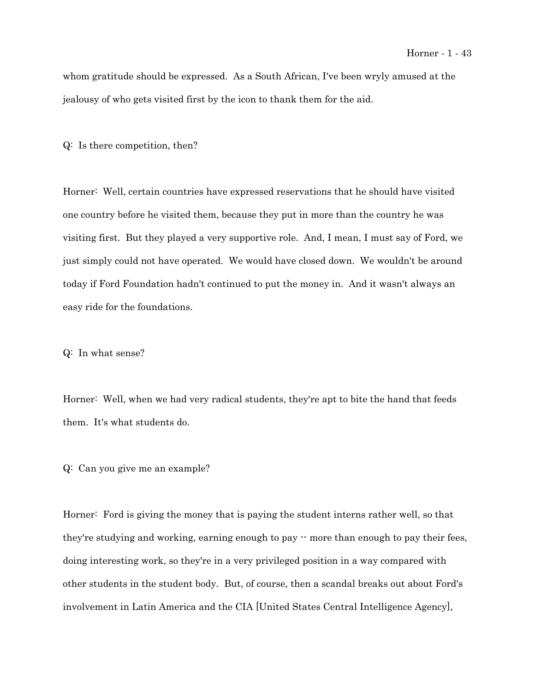whom gratitude should be expressed. As a South African, I've been wryly amused at the jealousy of who gets visited first by the icon to thank them for the aid.

Q: Is there competition, then?

Horner: Well, certain countries have expressed reservations that he should have visited one country before he visited them, because they put in more than the country he was visiting first. But they played a very supportive role. And, I mean, I must say of Ford, we just simply could not have operated. We would have closed down. We wouldn't be around today if Ford Foundation hadn't continued to put the money in. And it wasn't always an easy ride for the foundations.

Q: In what sense?

Horner: Well, when we had very radical students, they're apt to bite the hand that feeds them. It's what students do.

Q: Can you give me an example?

Horner: Ford is giving the money that is paying the student interns rather well, so that they're studying and working, earning enough to pay -- more than enough to pay their fees, doing interesting work, so they're in a very privileged position in a way compared with other students in the student body. But, of course, then a scandal breaks out about Ford's involvement in Latin America and the CIA [United States Central Intelligence Agency],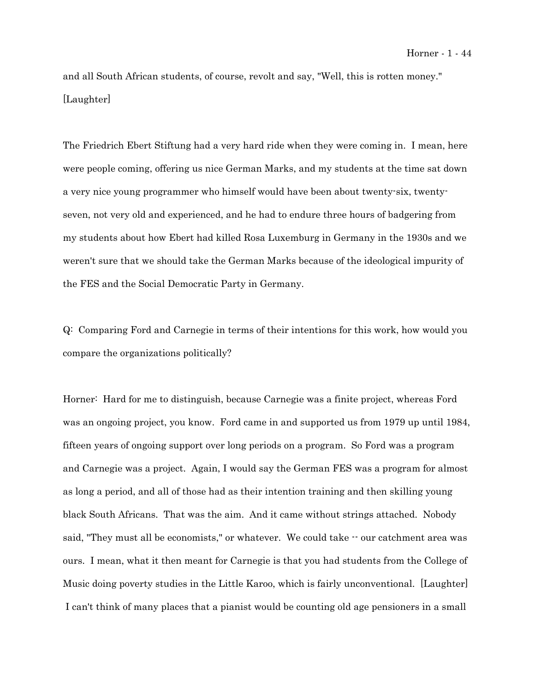and all South African students, of course, revolt and say, "Well, this is rotten money." [Laughter]

The Friedrich Ebert Stiftung had a very hard ride when they were coming in. I mean, here were people coming, offering us nice German Marks, and my students at the time sat down a very nice young programmer who himself would have been about twenty-six, twentyseven, not very old and experienced, and he had to endure three hours of badgering from my students about how Ebert had killed Rosa Luxemburg in Germany in the 1930s and we weren't sure that we should take the German Marks because of the ideological impurity of the FES and the Social Democratic Party in Germany.

Q: Comparing Ford and Carnegie in terms of their intentions for this work, how would you compare the organizations politically?

Horner: Hard for me to distinguish, because Carnegie was a finite project, whereas Ford was an ongoing project, you know. Ford came in and supported us from 1979 up until 1984, fifteen years of ongoing support over long periods on a program. So Ford was a program and Carnegie was a project. Again, I would say the German FES was a program for almost as long a period, and all of those had as their intention training and then skilling young black South Africans. That was the aim. And it came without strings attached. Nobody said, "They must all be economists," or whatever. We could take  $-$  our catchment area was ours. I mean, what it then meant for Carnegie is that you had students from the College of Music doing poverty studies in the Little Karoo, which is fairly unconventional. [Laughter] I can't think of many places that a pianist would be counting old age pensioners in a small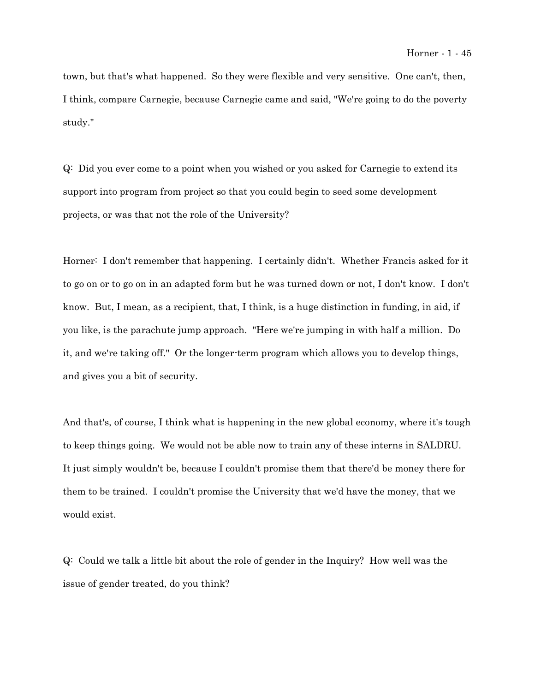town, but that's what happened. So they were flexible and very sensitive. One can't, then, I think, compare Carnegie, because Carnegie came and said, "We're going to do the poverty study."

Q: Did you ever come to a point when you wished or you asked for Carnegie to extend its support into program from project so that you could begin to seed some development projects, or was that not the role of the University?

Horner: I don't remember that happening. I certainly didn't. Whether Francis asked for it to go on or to go on in an adapted form but he was turned down or not, I don't know. I don't know. But, I mean, as a recipient, that, I think, is a huge distinction in funding, in aid, if you like, is the parachute jump approach. "Here we're jumping in with half a million. Do it, and we're taking off." Or the longer-term program which allows you to develop things, and gives you a bit of security.

And that's, of course, I think what is happening in the new global economy, where it's tough to keep things going. We would not be able now to train any of these interns in SALDRU. It just simply wouldn't be, because I couldn't promise them that there'd be money there for them to be trained. I couldn't promise the University that we'd have the money, that we would exist.

Q: Could we talk a little bit about the role of gender in the Inquiry? How well was the issue of gender treated, do you think?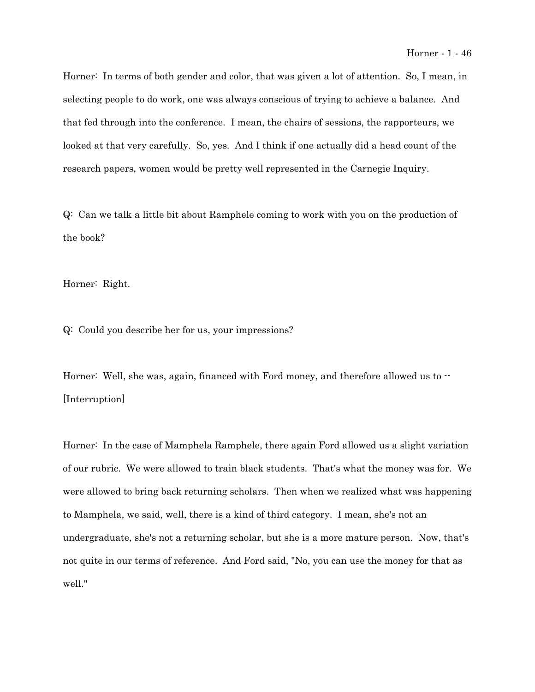Horner: In terms of both gender and color, that was given a lot of attention. So, I mean, in selecting people to do work, one was always conscious of trying to achieve a balance. And that fed through into the conference. I mean, the chairs of sessions, the rapporteurs, we looked at that very carefully. So, yes. And I think if one actually did a head count of the research papers, women would be pretty well represented in the Carnegie Inquiry.

Q: Can we talk a little bit about Ramphele coming to work with you on the production of the book?

Horner: Right.

Q: Could you describe her for us, your impressions?

Horner: Well, she was, again, financed with Ford money, and therefore allowed us to  $\cdot$ [Interruption]

Horner: In the case of Mamphela Ramphele, there again Ford allowed us a slight variation of our rubric. We were allowed to train black students. That's what the money was for. We were allowed to bring back returning scholars. Then when we realized what was happening to Mamphela, we said, well, there is a kind of third category. I mean, she's not an undergraduate, she's not a returning scholar, but she is a more mature person. Now, that's not quite in our terms of reference. And Ford said, "No, you can use the money for that as well."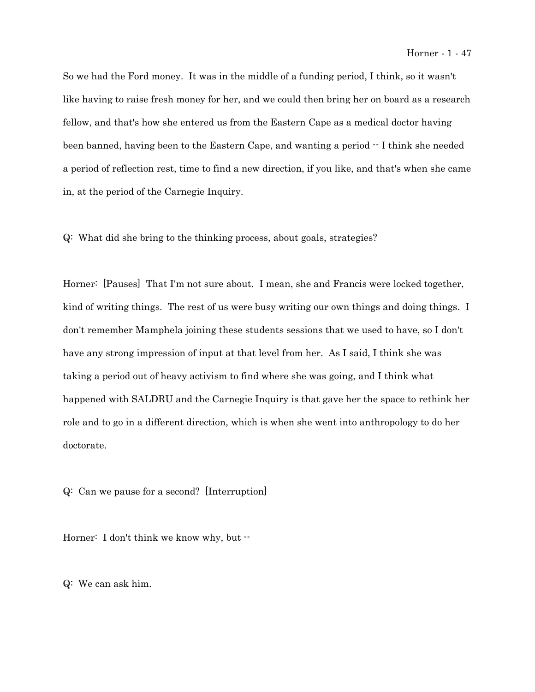So we had the Ford money. It was in the middle of a funding period, I think, so it wasn't like having to raise fresh money for her, and we could then bring her on board as a research fellow, and that's how she entered us from the Eastern Cape as a medical doctor having been banned, having been to the Eastern Cape, and wanting a period  $\cdot$  I think she needed a period of reflection rest, time to find a new direction, if you like, and that's when she came in, at the period of the Carnegie Inquiry.

Q: What did she bring to the thinking process, about goals, strategies?

Horner: [Pauses] That I'm not sure about. I mean, she and Francis were locked together, kind of writing things. The rest of us were busy writing our own things and doing things. I don't remember Mamphela joining these students sessions that we used to have, so I don't have any strong impression of input at that level from her. As I said, I think she was taking a period out of heavy activism to find where she was going, and I think what happened with SALDRU and the Carnegie Inquiry is that gave her the space to rethink her role and to go in a different direction, which is when she went into anthropology to do her doctorate.

Q: Can we pause for a second? [Interruption]

Horner: I don't think we know why, but  $\cdot\cdot$ 

Q: We can ask him.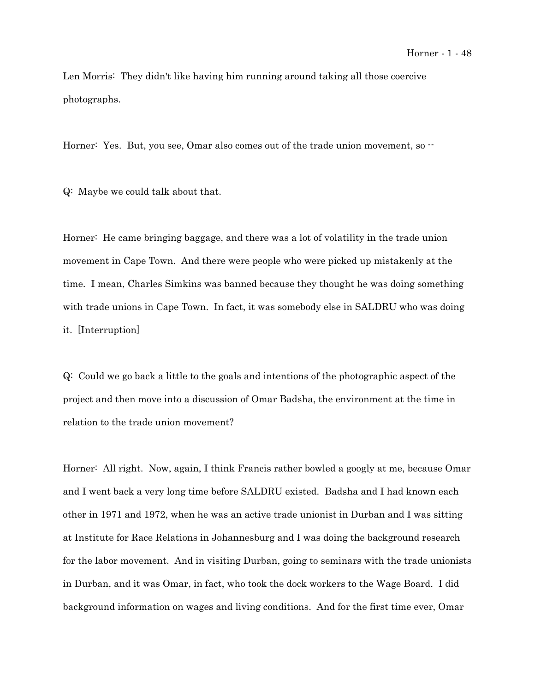Len Morris: They didn't like having him running around taking all those coercive photographs.

Horner: Yes. But, you see, Omar also comes out of the trade union movement, so  $-$ 

Q: Maybe we could talk about that.

Horner: He came bringing baggage, and there was a lot of volatility in the trade union movement in Cape Town. And there were people who were picked up mistakenly at the time. I mean, Charles Simkins was banned because they thought he was doing something with trade unions in Cape Town. In fact, it was somebody else in SALDRU who was doing it. [Interruption]

Q: Could we go back a little to the goals and intentions of the photographic aspect of the project and then move into a discussion of Omar Badsha, the environment at the time in relation to the trade union movement?

Horner: All right. Now, again, I think Francis rather bowled a googly at me, because Omar and I went back a very long time before SALDRU existed. Badsha and I had known each other in 1971 and 1972, when he was an active trade unionist in Durban and I was sitting at Institute for Race Relations in Johannesburg and I was doing the background research for the labor movement. And in visiting Durban, going to seminars with the trade unionists in Durban, and it was Omar, in fact, who took the dock workers to the Wage Board. I did background information on wages and living conditions. And for the first time ever, Omar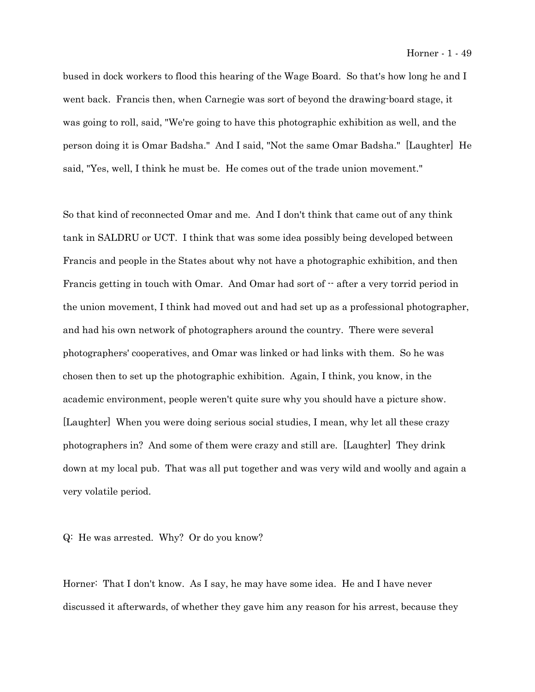bused in dock workers to flood this hearing of the Wage Board. So that's how long he and I went back. Francis then, when Carnegie was sort of beyond the drawing-board stage, it was going to roll, said, "We're going to have this photographic exhibition as well, and the person doing it is Omar Badsha." And I said, "Not the same Omar Badsha." [Laughter] He said, "Yes, well, I think he must be. He comes out of the trade union movement."

So that kind of reconnected Omar and me. And I don't think that came out of any think tank in SALDRU or UCT. I think that was some idea possibly being developed between Francis and people in the States about why not have a photographic exhibition, and then Francis getting in touch with Omar. And Omar had sort of  $-$  after a very torrid period in the union movement, I think had moved out and had set up as a professional photographer, and had his own network of photographers around the country. There were several photographers' cooperatives, and Omar was linked or had links with them. So he was chosen then to set up the photographic exhibition. Again, I think, you know, in the academic environment, people weren't quite sure why you should have a picture show. [Laughter] When you were doing serious social studies, I mean, why let all these crazy photographers in? And some of them were crazy and still are. [Laughter] They drink down at my local pub. That was all put together and was very wild and woolly and again a very volatile period.

Q: He was arrested. Why? Or do you know?

Horner: That I don't know. As I say, he may have some idea. He and I have never discussed it afterwards, of whether they gave him any reason for his arrest, because they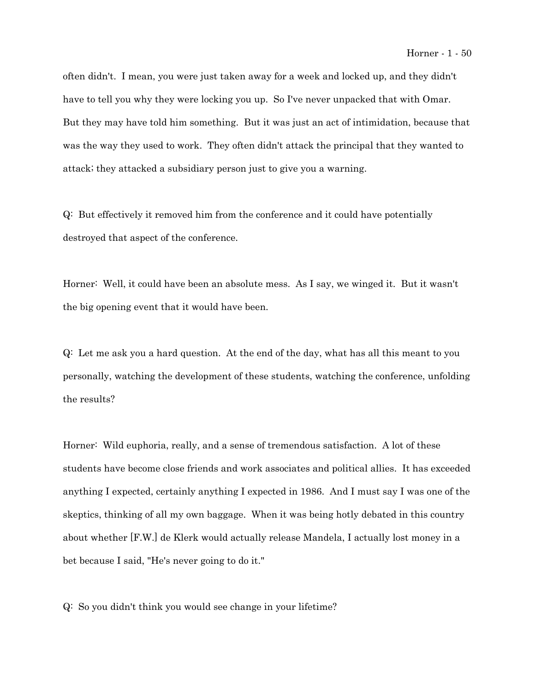often didn't. I mean, you were just taken away for a week and locked up, and they didn't have to tell you why they were locking you up. So I've never unpacked that with Omar. But they may have told him something. But it was just an act of intimidation, because that was the way they used to work. They often didn't attack the principal that they wanted to attack; they attacked a subsidiary person just to give you a warning.

Q: But effectively it removed him from the conference and it could have potentially destroyed that aspect of the conference.

Horner: Well, it could have been an absolute mess. As I say, we winged it. But it wasn't the big opening event that it would have been.

Q: Let me ask you a hard question. At the end of the day, what has all this meant to you personally, watching the development of these students, watching the conference, unfolding the results?

Horner: Wild euphoria, really, and a sense of tremendous satisfaction. A lot of these students have become close friends and work associates and political allies. It has exceeded anything I expected, certainly anything I expected in 1986. And I must say I was one of the skeptics, thinking of all my own baggage. When it was being hotly debated in this country about whether [F.W.] de Klerk would actually release Mandela, I actually lost money in a bet because I said, "He's never going to do it."

Q: So you didn't think you would see change in your lifetime?